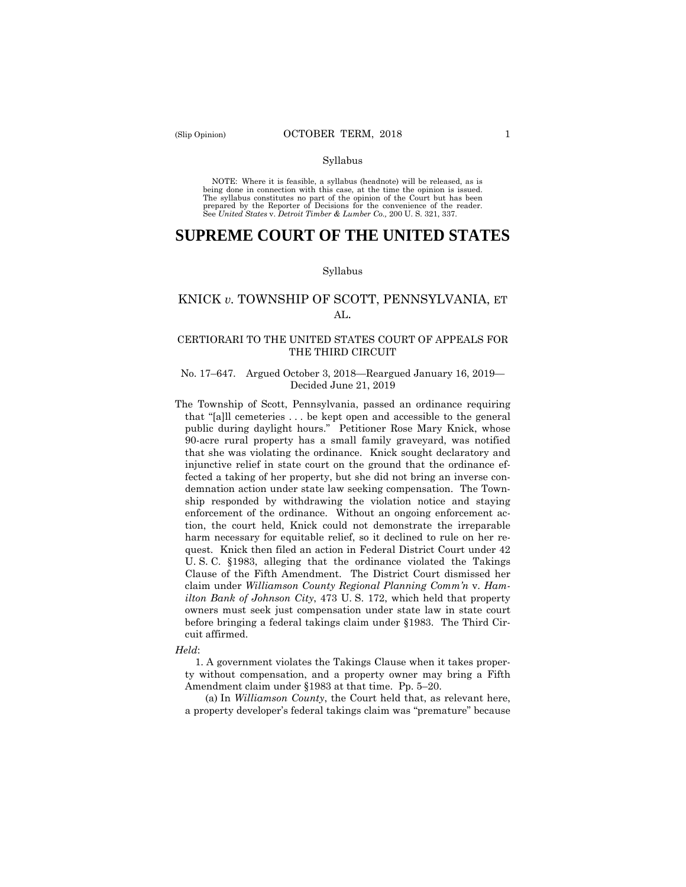NOTE: Where it is feasible, a syllabus (headnote) will be released, as is being done in connection with this case, at the time the opinion is issued. The syllabus constitutes no part of the opinion of the Court but has been<br>prepared by the Reporter of Decisions for the convenience of the reader.<br>See United States v. Detroit Timber & Lumber Co., 200 U.S. 321, 337.

# **SUPREME COURT OF THE UNITED STATES**

## Syllabus

# KNICK *v.* TOWNSHIP OF SCOTT, PENNSYLVANIA, ET AL.

# CERTIORARI TO THE UNITED STATES COURT OF APPEALS FOR THE THIRD CIRCUIT

# Decided June 21, 2019 No. 17–647. Argued October 3, 2018—Reargued January 16, 2019—

The Township of Scott, Pennsylvania, passed an ordinance requiring that "[a]ll cemeteries . . . be kept open and accessible to the general public during daylight hours." Petitioner Rose Mary Knick, whose 90-acre rural property has a small family graveyard, was notified that she was violating the ordinance. Knick sought declaratory and injunctive relief in state court on the ground that the ordinance effected a taking of her property, but she did not bring an inverse condemnation action under state law seeking compensation. The Township responded by withdrawing the violation notice and staying enforcement of the ordinance. Without an ongoing enforcement action, the court held, Knick could not demonstrate the irreparable harm necessary for equitable relief, so it declined to rule on her request. Knick then filed an action in Federal District Court under 42 U. S. C. §1983, alleging that the ordinance violated the Takings Clause of the Fifth Amendment. The District Court dismissed her claim under *Williamson County Regional Planning Comm'n* v. *Hamilton Bank of Johnson City*, 473 U. S. 172, which held that property owners must seek just compensation under state law in state court before bringing a federal takings claim under §1983. The Third Circuit affirmed.

#### *Held*:

1. A government violates the Takings Clause when it takes property without compensation, and a property owner may bring a Fifth Amendment claim under §1983 at that time. Pp. 5–20.

(a) In *Williamson County*, the Court held that, as relevant here, a property developer's federal takings claim was "premature" because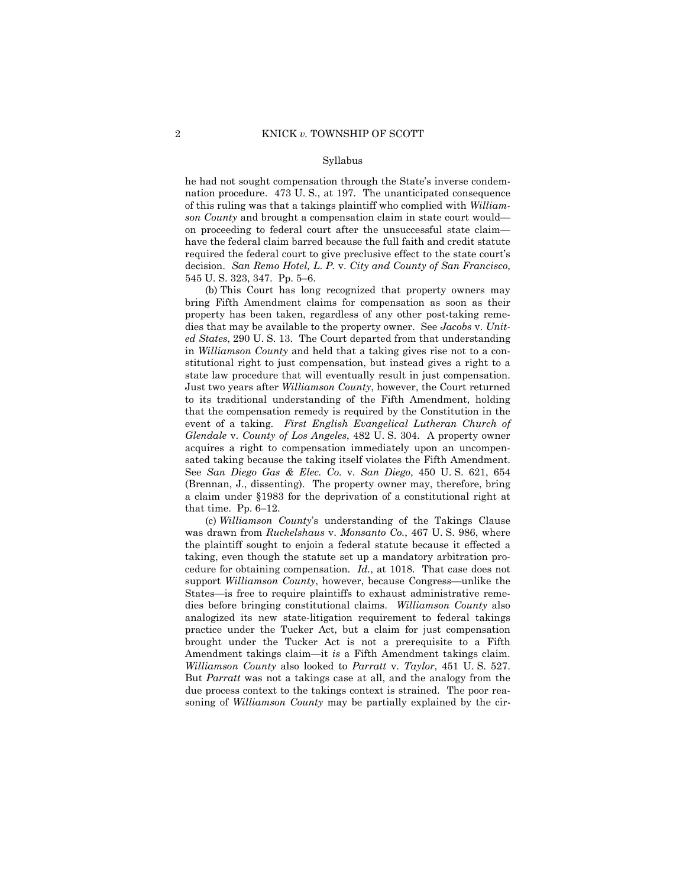he had not sought compensation through the State's inverse condemnation procedure. 473 U. S., at 197. The unanticipated consequence of this ruling was that a takings plaintiff who complied with *Williamson County* and brought a compensation claim in state court would on proceeding to federal court after the unsuccessful state claim have the federal claim barred because the full faith and credit statute required the federal court to give preclusive effect to the state court's decision. *San Remo Hotel, L. P.* v. *City and County of San Francisco*, 545 U. S. 323, 347. Pp. 5–6.

(b) This Court has long recognized that property owners may bring Fifth Amendment claims for compensation as soon as their property has been taken, regardless of any other post-taking remedies that may be available to the property owner. See *Jacobs* v. *United States*, 290 U. S. 13. The Court departed from that understanding in *Williamson County* and held that a taking gives rise not to a constitutional right to just compensation, but instead gives a right to a state law procedure that will eventually result in just compensation. Just two years after *Williamson County*, however, the Court returned to its traditional understanding of the Fifth Amendment, holding that the compensation remedy is required by the Constitution in the event of a taking. *First English Evangelical Lutheran Church of Glendale* v. *County of Los Angeles*, 482 U. S. 304. A property owner acquires a right to compensation immediately upon an uncompensated taking because the taking itself violates the Fifth Amendment. See *San Diego Gas & Elec. Co.* v. *San Diego*, 450 U. S. 621, 654 (Brennan, J., dissenting). The property owner may, therefore, bring a claim under §1983 for the deprivation of a constitutional right at that time. Pp. 6–12.

Williamson County also looked to Parratt v. Taylor, 451 U.S. 527. (c) *Williamson County*'s understanding of the Takings Clause was drawn from *Ruckelshaus* v. *Monsanto Co.*, 467 U. S. 986, where the plaintiff sought to enjoin a federal statute because it effected a taking, even though the statute set up a mandatory arbitration procedure for obtaining compensation. *Id.*, at 1018. That case does not support *Williamson County*, however, because Congress—unlike the States—is free to require plaintiffs to exhaust administrative remedies before bringing constitutional claims. *Williamson County* also analogized its new state-litigation requirement to federal takings practice under the Tucker Act, but a claim for just compensation brought under the Tucker Act is not a prerequisite to a Fifth Amendment takings claim—it *is* a Fifth Amendment takings claim. But *Parratt* was not a takings case at all, and the analogy from the due process context to the takings context is strained. The poor reasoning of *Williamson County* may be partially explained by the cir-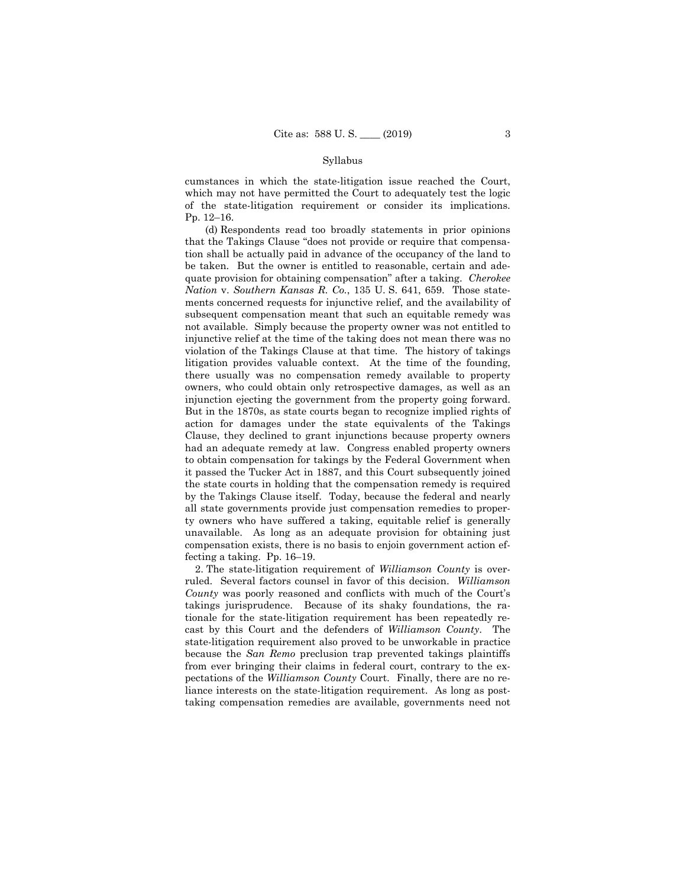of the state-litigation requirement or consider its implications. Pp. 12–16. cumstances in which the state-litigation issue reached the Court, which may not have permitted the Court to adequately test the logic

 injunction ejecting the government from the property going forward. (d) Respondents read too broadly statements in prior opinions that the Takings Clause "does not provide or require that compensation shall be actually paid in advance of the occupancy of the land to be taken. But the owner is entitled to reasonable, certain and adequate provision for obtaining compensation" after a taking. *Cherokee Nation* v. *Southern Kansas R. Co.*, 135 U. S. 641, 659. Those statements concerned requests for injunctive relief, and the availability of subsequent compensation meant that such an equitable remedy was not available. Simply because the property owner was not entitled to injunctive relief at the time of the taking does not mean there was no violation of the Takings Clause at that time. The history of takings litigation provides valuable context. At the time of the founding, there usually was no compensation remedy available to property owners, who could obtain only retrospective damages, as well as an But in the 1870s, as state courts began to recognize implied rights of action for damages under the state equivalents of the Takings Clause, they declined to grant injunctions because property owners had an adequate remedy at law. Congress enabled property owners to obtain compensation for takings by the Federal Government when it passed the Tucker Act in 1887, and this Court subsequently joined the state courts in holding that the compensation remedy is required by the Takings Clause itself. Today, because the federal and nearly all state governments provide just compensation remedies to property owners who have suffered a taking, equitable relief is generally unavailable. As long as an adequate provision for obtaining just compensation exists, there is no basis to enjoin government action effecting a taking. Pp. 16–19.

2. The state-litigation requirement of *Williamson County* is overruled. Several factors counsel in favor of this decision. *Williamson County* was poorly reasoned and conflicts with much of the Court's takings jurisprudence. Because of its shaky foundations, the rationale for the state-litigation requirement has been repeatedly recast by this Court and the defenders of *Williamson County*. The state-litigation requirement also proved to be unworkable in practice because the *San Remo* preclusion trap prevented takings plaintiffs from ever bringing their claims in federal court, contrary to the expectations of the *Williamson County* Court. Finally, there are no reliance interests on the state-litigation requirement. As long as posttaking compensation remedies are available, governments need not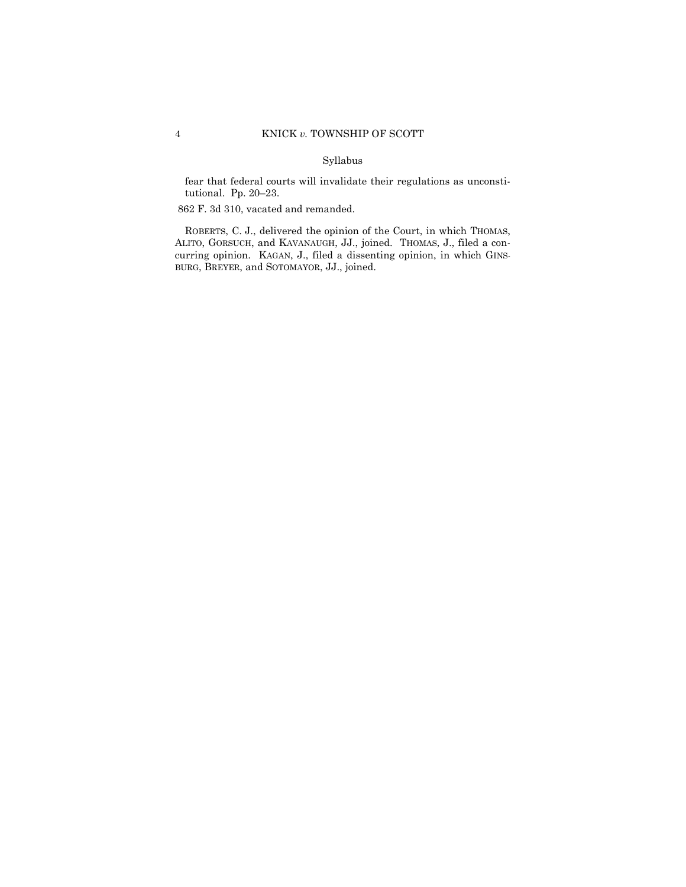fear that federal courts will invalidate their regulations as unconstitutional. Pp. 20–23.

862 F. 3d 310, vacated and remanded.

ROBERTS, C. J., delivered the opinion of the Court, in which THOMAS, ALITO, GORSUCH, and KAVANAUGH, JJ., joined. THOMAS, J., filed a concurring opinion. KAGAN, J., filed a dissenting opinion, in which GINS-BURG, BREYER, and SOTOMAYOR, JJ., joined.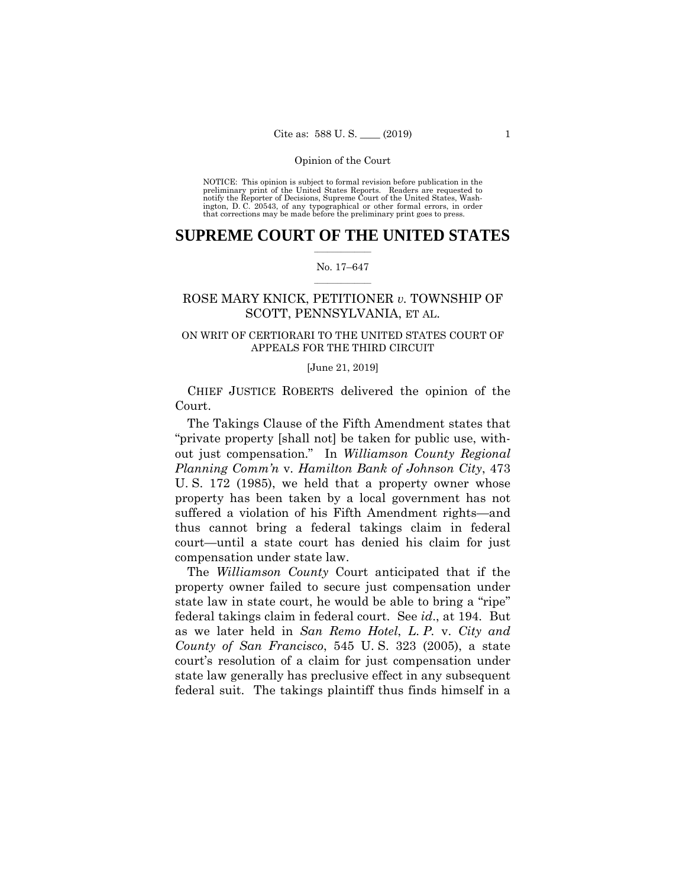preliminary print of the United States Reports. Readers are requested to notify the Reporter of Decisions, Supreme Court of the United States, Wash- ington, D. C. 20543, of any typographical or other formal errors, in order that corrections may be made before the preliminary print goes to press. NOTICE: This opinion is subject to formal revision before publication in the

# $\frac{1}{2}$  , where  $\frac{1}{2}$ **SUPREME COURT OF THE UNITED STATES**

## $\frac{1}{2}$  ,  $\frac{1}{2}$  ,  $\frac{1}{2}$  ,  $\frac{1}{2}$  ,  $\frac{1}{2}$  ,  $\frac{1}{2}$ No. 17–647

# ROSE MARY KNICK, PETITIONER *v.* TOWNSHIP OF SCOTT, PENNSYLVANIA, ET AL.

# ON WRIT OF CERTIORARI TO THE UNITED STATES COURT OF APPEALS FOR THE THIRD CIRCUIT

#### [June 21, 2019]

CHIEF JUSTICE ROBERTS delivered the opinion of the Court.

The Takings Clause of the Fifth Amendment states that "private property [shall not] be taken for public use, without just compensation." In *Williamson County Regional Planning Comm'n* v. *Hamilton Bank of Johnson City*, 473 U. S. 172 (1985), we held that a property owner whose property has been taken by a local government has not suffered a violation of his Fifth Amendment rights—and thus cannot bring a federal takings claim in federal court—until a state court has denied his claim for just compensation under state law.

The *Williamson County* Court anticipated that if the property owner failed to secure just compensation under state law in state court, he would be able to bring a "ripe" federal takings claim in federal court. See *id*., at 194. But as we later held in *San Remo Hotel*, *L. P.* v. *City and County of San Francisco*, 545 U. S. 323 (2005), a state court's resolution of a claim for just compensation under state law generally has preclusive effect in any subsequent federal suit. The takings plaintiff thus finds himself in a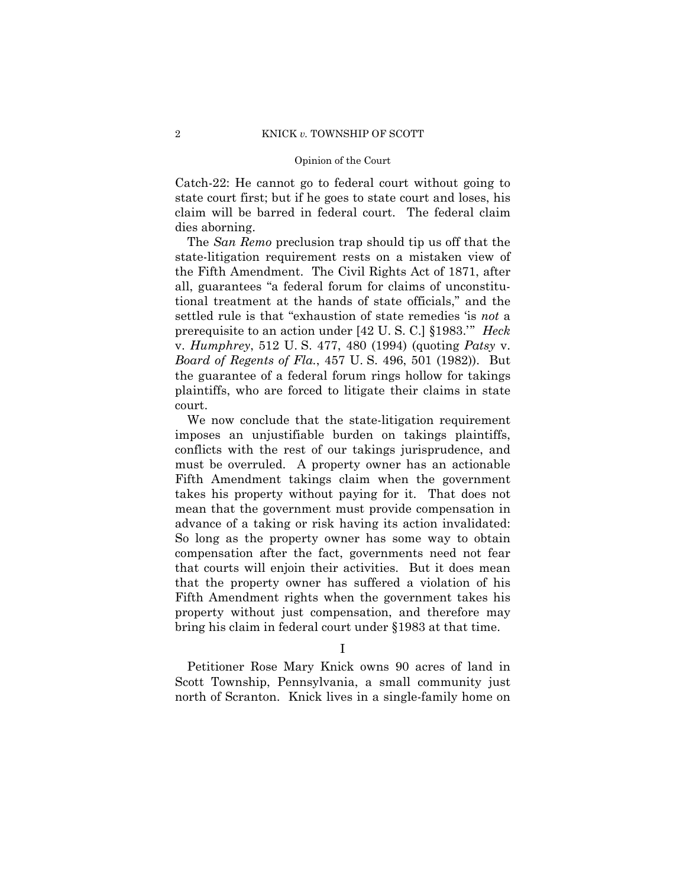Catch-22: He cannot go to federal court without going to state court first; but if he goes to state court and loses, his claim will be barred in federal court. The federal claim dies aborning.

The *San Remo* preclusion trap should tip us off that the state-litigation requirement rests on a mistaken view of the Fifth Amendment. The Civil Rights Act of 1871, after all, guarantees "a federal forum for claims of unconstitutional treatment at the hands of state officials," and the settled rule is that "exhaustion of state remedies 'is *not* a prerequisite to an action under [42 U. S. C.] §1983.'" *Heck*  v. *Humphrey*, 512 U. S. 477, 480 (1994) (quoting *Patsy* v. *Board of Regents of Fla.*, 457 U. S. 496, 501 (1982)). But the guarantee of a federal forum rings hollow for takings plaintiffs, who are forced to litigate their claims in state court.

We now conclude that the state-litigation requirement imposes an unjustifiable burden on takings plaintiffs, conflicts with the rest of our takings jurisprudence, and must be overruled. A property owner has an actionable Fifth Amendment takings claim when the government takes his property without paying for it. That does not mean that the government must provide compensation in advance of a taking or risk having its action invalidated: So long as the property owner has some way to obtain compensation after the fact, governments need not fear that courts will enjoin their activities. But it does mean that the property owner has suffered a violation of his Fifth Amendment rights when the government takes his property without just compensation, and therefore may bring his claim in federal court under §1983 at that time.

I

Petitioner Rose Mary Knick owns 90 acres of land in Scott Township, Pennsylvania, a small community just north of Scranton. Knick lives in a single-family home on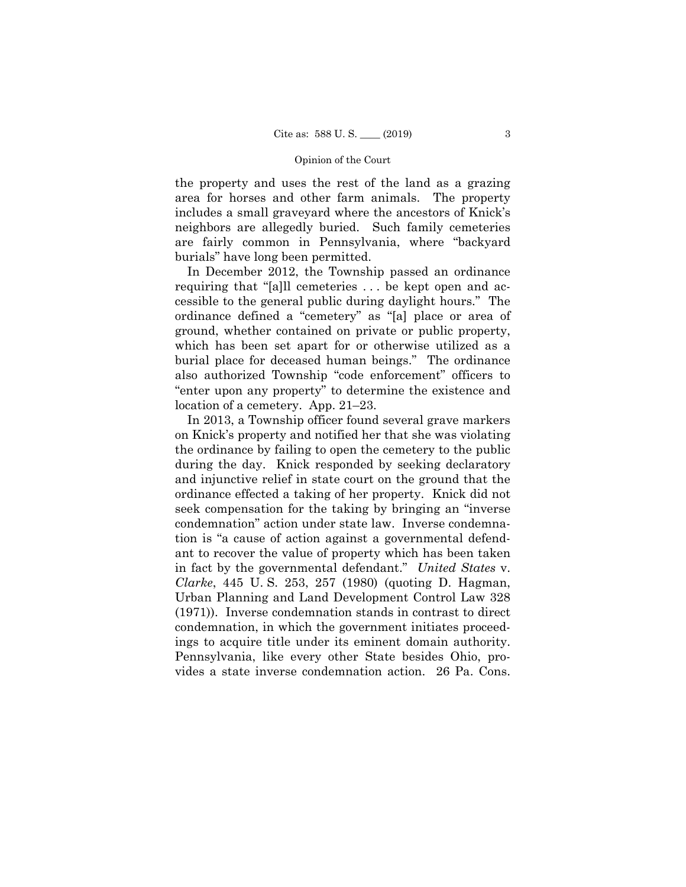the property and uses the rest of the land as a grazing area for horses and other farm animals. The property includes a small graveyard where the ancestors of Knick's neighbors are allegedly buried. Such family cemeteries are fairly common in Pennsylvania, where "backyard burials" have long been permitted.

In December 2012, the Township passed an ordinance requiring that "[a]ll cemeteries . . . be kept open and accessible to the general public during daylight hours." The ordinance defined a "cemetery" as "[a] place or area of ground, whether contained on private or public property, which has been set apart for or otherwise utilized as a burial place for deceased human beings." The ordinance also authorized Township "code enforcement" officers to "enter upon any property" to determine the existence and location of a cemetery. App. 21–23.

In 2013, a Township officer found several grave markers on Knick's property and notified her that she was violating the ordinance by failing to open the cemetery to the public during the day. Knick responded by seeking declaratory and injunctive relief in state court on the ground that the ordinance effected a taking of her property. Knick did not seek compensation for the taking by bringing an "inverse condemnation" action under state law. Inverse condemnation is "a cause of action against a governmental defendant to recover the value of property which has been taken in fact by the governmental defendant." *United States* v. *Clarke*, 445 U. S. 253, 257 (1980) (quoting D. Hagman, Urban Planning and Land Development Control Law 328 (1971)). Inverse condemnation stands in contrast to direct condemnation, in which the government initiates proceedings to acquire title under its eminent domain authority. Pennsylvania, like every other State besides Ohio, provides a state inverse condemnation action. 26 Pa. Cons.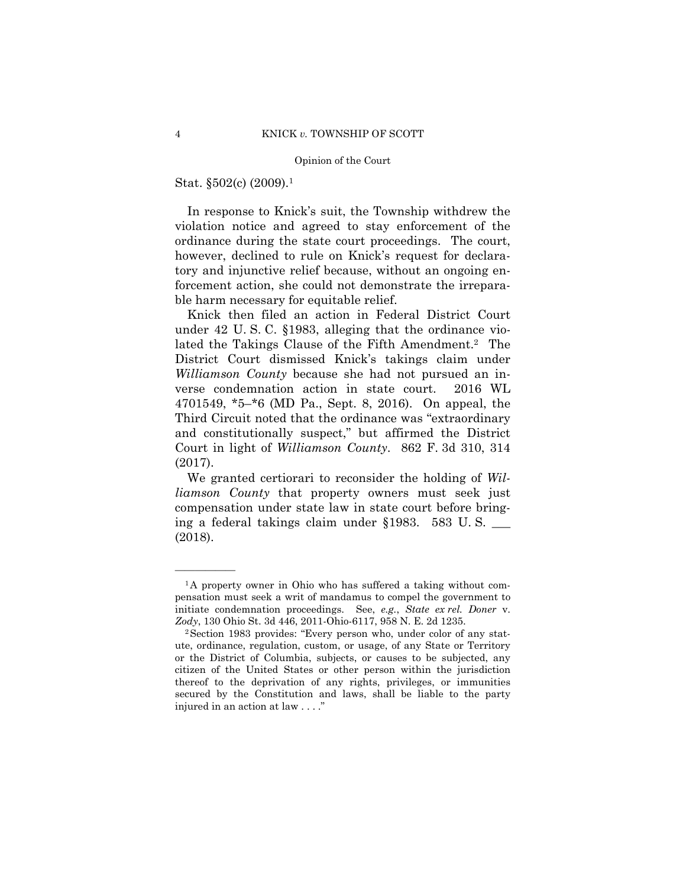Stat. §502(c) (2009).1

——————

In response to Knick's suit, the Township withdrew the violation notice and agreed to stay enforcement of the ordinance during the state court proceedings. The court, however, declined to rule on Knick's request for declaratory and injunctive relief because, without an ongoing enforcement action, she could not demonstrate the irreparable harm necessary for equitable relief.

Knick then filed an action in Federal District Court under 42 U. S. C. §1983, alleging that the ordinance violated the Takings Clause of the Fifth Amendment.2 The District Court dismissed Knick's takings claim under *Williamson County* because she had not pursued an inverse condemnation action in state court. 2016 WL 4701549, \*5–\*6 (MD Pa., Sept. 8, 2016). On appeal, the Third Circuit noted that the ordinance was "extraordinary and constitutionally suspect," but affirmed the District Court in light of *Williamson County*. 862 F. 3d 310, 314 (2017).

We granted certiorari to reconsider the holding of *Williamson County* that property owners must seek just compensation under state law in state court before bringing a federal takings claim under §1983. 583 U. S. \_\_\_ (2018).

<sup>&</sup>lt;sup>1</sup>A property owner in Ohio who has suffered a taking without compensation must seek a writ of mandamus to compel the government to initiate condemnation proceedings. See, *e.g.*, *State ex rel. Doner* v. *Zody*, 130 Ohio St. 3d 446, 2011-Ohio-6117, 958 N. E. 2d 1235.<br><sup>2</sup> Section 1983 provides: "Every person who, under color of any stat-

ute, ordinance, regulation, custom, or usage, of any State or Territory or the District of Columbia, subjects, or causes to be subjected, any citizen of the United States or other person within the jurisdiction thereof to the deprivation of any rights, privileges, or immunities secured by the Constitution and laws, shall be liable to the party injured in an action at law . . . ."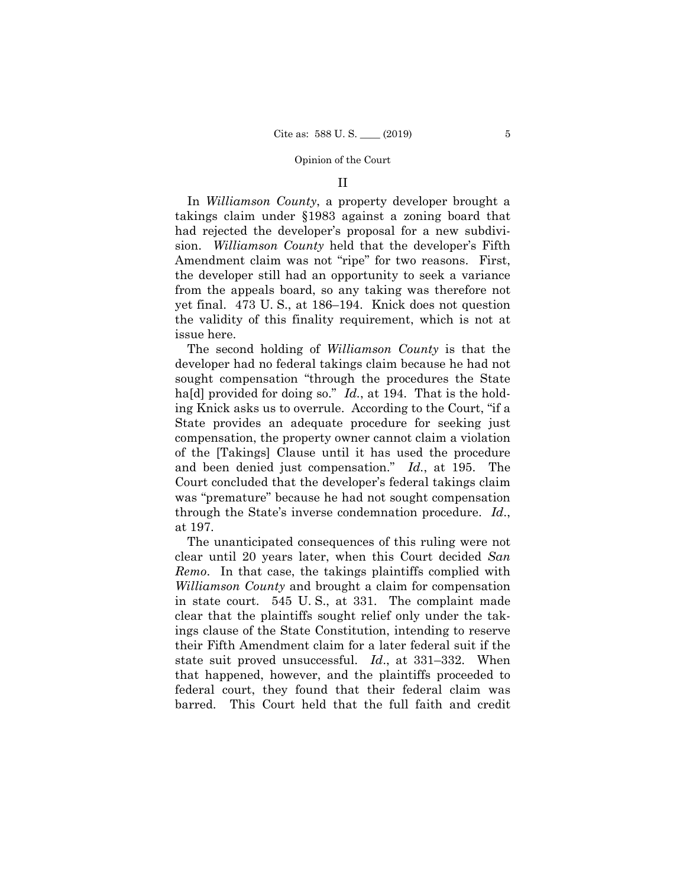# II

In *Williamson County*, a property developer brought a takings claim under §1983 against a zoning board that had rejected the developer's proposal for a new subdivision. *Williamson County* held that the developer's Fifth Amendment claim was not "ripe" for two reasons. First, the developer still had an opportunity to seek a variance from the appeals board, so any taking was therefore not yet final. 473 U. S., at 186–194. Knick does not question the validity of this finality requirement, which is not at issue here.

The second holding of *Williamson County* is that the developer had no federal takings claim because he had not sought compensation "through the procedures the State ha[d] provided for doing so." *Id.*, at 194. That is the holding Knick asks us to overrule. According to the Court, "if a State provides an adequate procedure for seeking just compensation, the property owner cannot claim a violation of the [Takings] Clause until it has used the procedure and been denied just compensation." *Id.*, at 195. The Court concluded that the developer's federal takings claim was "premature" because he had not sought compensation through the State's inverse condemnation procedure. *Id*., at 197.

The unanticipated consequences of this ruling were not clear until 20 years later, when this Court decided *San Remo*. In that case, the takings plaintiffs complied with *Williamson County* and brought a claim for compensation in state court. 545 U. S., at 331. The complaint made clear that the plaintiffs sought relief only under the takings clause of the State Constitution, intending to reserve their Fifth Amendment claim for a later federal suit if the state suit proved unsuccessful. *Id*., at 331–332. When that happened, however, and the plaintiffs proceeded to federal court, they found that their federal claim was barred. This Court held that the full faith and credit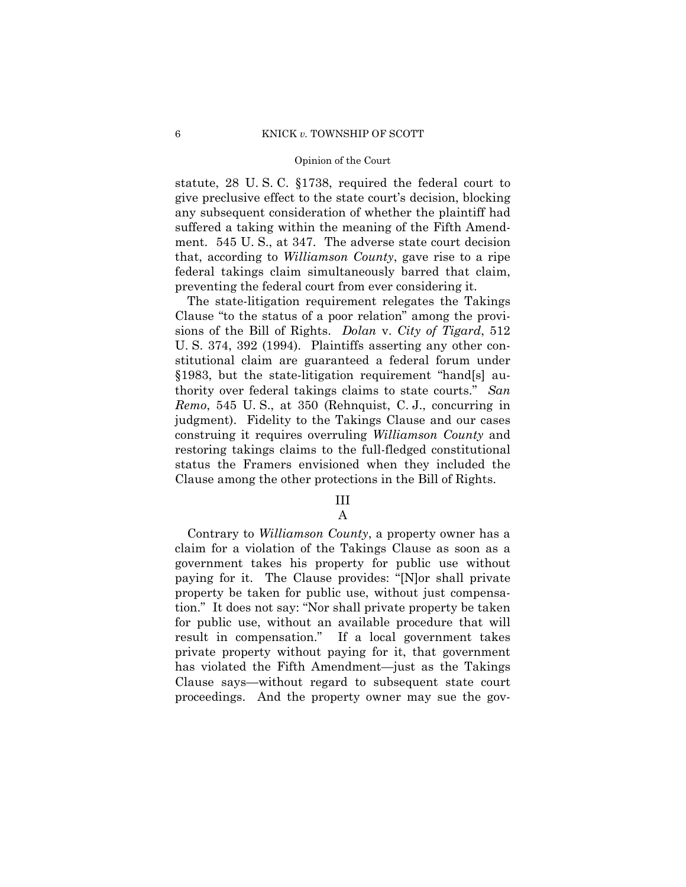statute, 28 U. S. C. §1738, required the federal court to give preclusive effect to the state court's decision, blocking any subsequent consideration of whether the plaintiff had suffered a taking within the meaning of the Fifth Amendment. 545 U. S., at 347. The adverse state court decision that, according to *Williamson County*, gave rise to a ripe federal takings claim simultaneously barred that claim, preventing the federal court from ever considering it.

The state-litigation requirement relegates the Takings Clause "to the status of a poor relation" among the provisions of the Bill of Rights. *Dolan* v. *City of Tigard*, 512 U. S. 374, 392 (1994). Plaintiffs asserting any other constitutional claim are guaranteed a federal forum under §1983, but the state-litigation requirement "hand[s] authority over federal takings claims to state courts." *San Remo*, 545 U. S., at 350 (Rehnquist, C. J., concurring in judgment). Fidelity to the Takings Clause and our cases construing it requires overruling *Williamson County* and restoring takings claims to the full-fledged constitutional status the Framers envisioned when they included the Clause among the other protections in the Bill of Rights.

# III

# A

 Contrary to *Williamson County*, a property owner has a claim for a violation of the Takings Clause as soon as a government takes his property for public use without paying for it. The Clause provides: "[N]or shall private property be taken for public use, without just compensation." It does not say: "Nor shall private property be taken for public use, without an available procedure that will result in compensation." If a local government takes private property without paying for it, that government has violated the Fifth Amendment—just as the Takings Clause says—without regard to subsequent state court proceedings. And the property owner may sue the gov-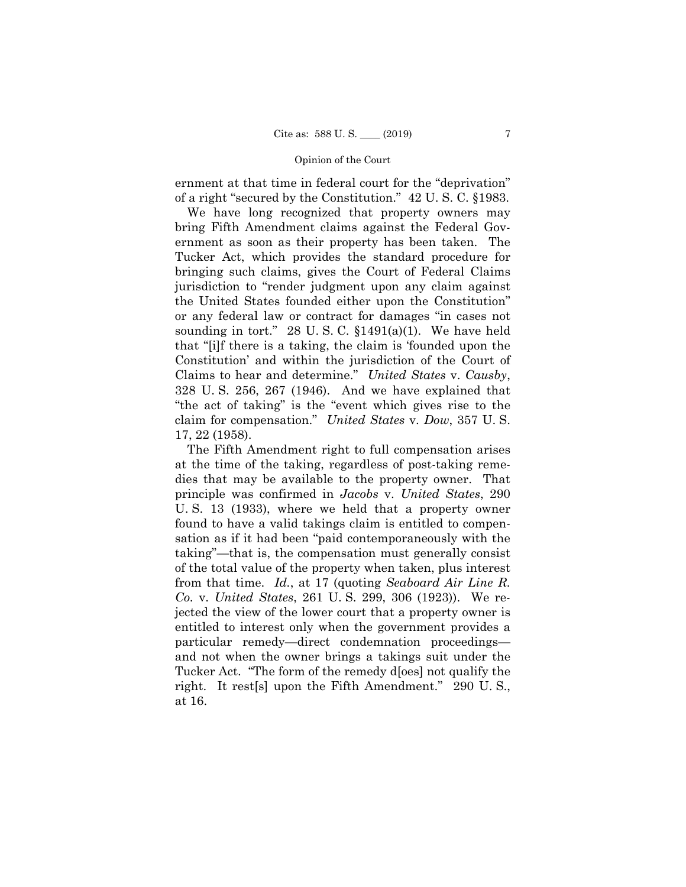ernment at that time in federal court for the "deprivation" of a right "secured by the Constitution." 42 U. S. C. §1983.

We have long recognized that property owners may bring Fifth Amendment claims against the Federal Government as soon as their property has been taken. The Tucker Act, which provides the standard procedure for bringing such claims, gives the Court of Federal Claims jurisdiction to "render judgment upon any claim against the United States founded either upon the Constitution" or any federal law or contract for damages "in cases not sounding in tort." 28 U.S.C.  $$1491(a)(1)$ . We have held that "[i]f there is a taking, the claim is 'founded upon the Constitution' and within the jurisdiction of the Court of Claims to hear and determine." *United States* v. *Causby*, 328 U. S. 256, 267 (1946). And we have explained that "the act of taking" is the "event which gives rise to the claim for compensation." *United States* v. *Dow*, 357 U. S. 17, 22 (1958).

The Fifth Amendment right to full compensation arises at the time of the taking, regardless of post-taking remedies that may be available to the property owner. That principle was confirmed in *Jacobs* v. *United States*, 290 U. S. 13 (1933), where we held that a property owner found to have a valid takings claim is entitled to compensation as if it had been "paid contemporaneously with the taking"—that is, the compensation must generally consist of the total value of the property when taken, plus interest from that time. *Id.*, at 17 (quoting *Seaboard Air Line R. Co.* v. *United States*, 261 U. S. 299, 306 (1923)). We rejected the view of the lower court that a property owner is entitled to interest only when the government provides a particular remedy—direct condemnation proceedings and not when the owner brings a takings suit under the Tucker Act. "The form of the remedy d[oes] not qualify the right. It rest[s] upon the Fifth Amendment." 290 U. S., at 16.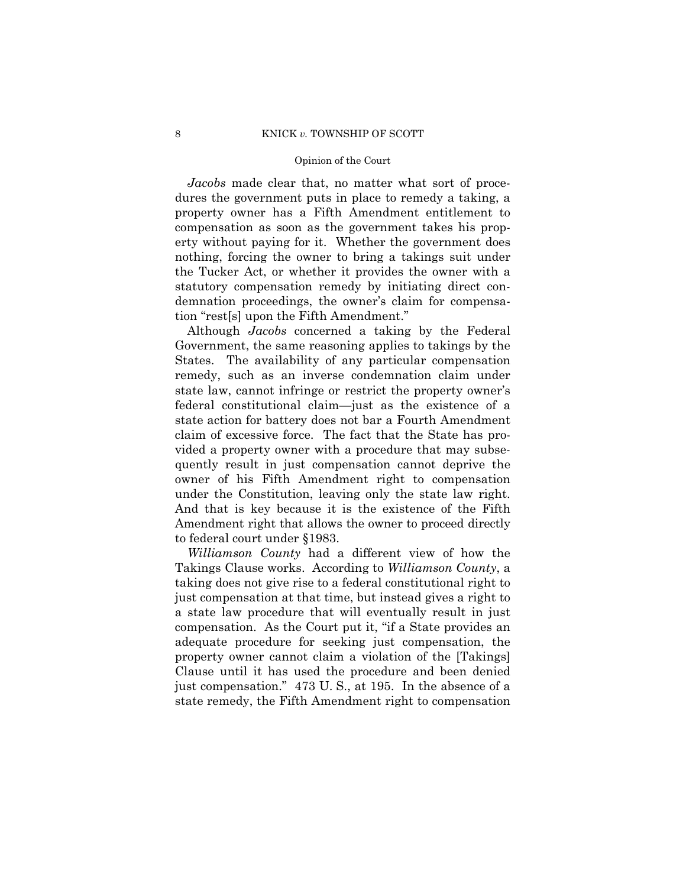*Jacobs* made clear that, no matter what sort of procedures the government puts in place to remedy a taking, a property owner has a Fifth Amendment entitlement to compensation as soon as the government takes his property without paying for it. Whether the government does nothing, forcing the owner to bring a takings suit under the Tucker Act, or whether it provides the owner with a statutory compensation remedy by initiating direct condemnation proceedings, the owner's claim for compensation "rest[s] upon the Fifth Amendment."

 under the Constitution, leaving only the state law right. Amendment right that allows the owner to proceed directly Although *Jacobs* concerned a taking by the Federal Government, the same reasoning applies to takings by the States. The availability of any particular compensation remedy, such as an inverse condemnation claim under state law, cannot infringe or restrict the property owner's federal constitutional claim—just as the existence of a state action for battery does not bar a Fourth Amendment claim of excessive force. The fact that the State has provided a property owner with a procedure that may subsequently result in just compensation cannot deprive the owner of his Fifth Amendment right to compensation And that is key because it is the existence of the Fifth to federal court under §1983.

*Williamson County* had a different view of how the Takings Clause works. According to *Williamson County*, a taking does not give rise to a federal constitutional right to just compensation at that time, but instead gives a right to a state law procedure that will eventually result in just compensation. As the Court put it, "if a State provides an adequate procedure for seeking just compensation, the property owner cannot claim a violation of the [Takings] Clause until it has used the procedure and been denied just compensation." 473 U. S., at 195. In the absence of a state remedy, the Fifth Amendment right to compensation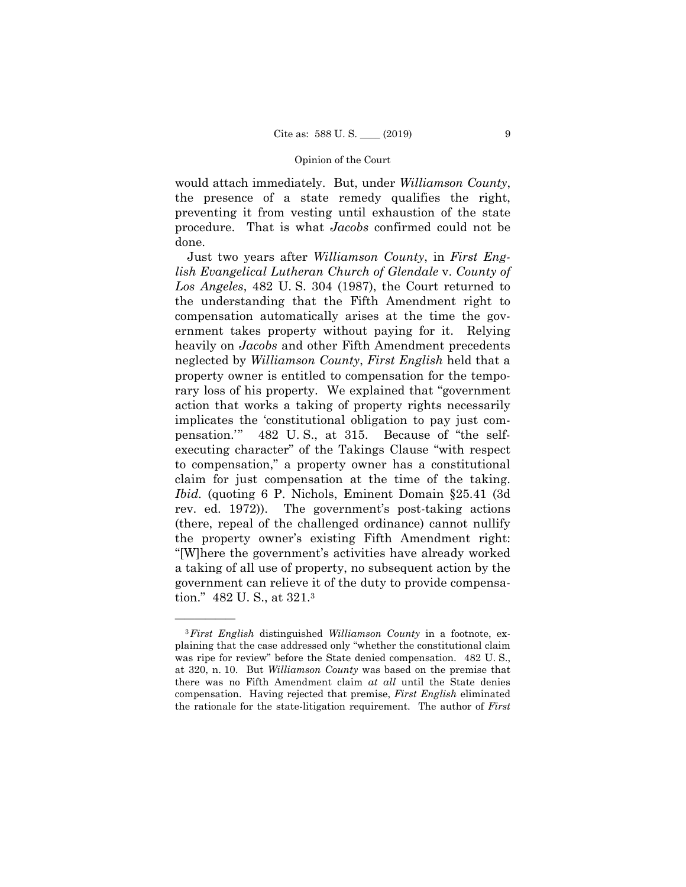would attach immediately. But, under *Williamson County*, the presence of a state remedy qualifies the right, preventing it from vesting until exhaustion of the state procedure. That is what *Jacobs* confirmed could not be done.

Just two years after *Williamson County*, in *First English Evangelical Lutheran Church of Glendale* v. *County of Los Angeles*, 482 U. S. 304 (1987), the Court returned to the understanding that the Fifth Amendment right to compensation automatically arises at the time the government takes property without paying for it. Relying heavily on *Jacobs* and other Fifth Amendment precedents neglected by *Williamson County*, *First English* held that a property owner is entitled to compensation for the temporary loss of his property. We explained that "government action that works a taking of property rights necessarily implicates the 'constitutional obligation to pay just compensation.'" 482 U. S., at 315. Because of "the selfexecuting character" of the Takings Clause "with respect to compensation," a property owner has a constitutional claim for just compensation at the time of the taking. *Ibid.* (quoting 6 P. Nichols, Eminent Domain §25.41 (3d rev. ed. 1972)). The government's post-taking actions (there, repeal of the challenged ordinance) cannot nullify the property owner's existing Fifth Amendment right: "[W]here the government's activities have already worked a taking of all use of property, no subsequent action by the government can relieve it of the duty to provide compensation." 482 U. S., at 321.3

<sup>3</sup> *First English* distinguished *Williamson County* in a footnote, explaining that the case addressed only "whether the constitutional claim was ripe for review" before the State denied compensation. 482 U. S., at 320, n. 10. But *Williamson County* was based on the premise that there was no Fifth Amendment claim *at all* until the State denies compensation. Having rejected that premise, *First English* eliminated the rationale for the state-litigation requirement. The author of *First*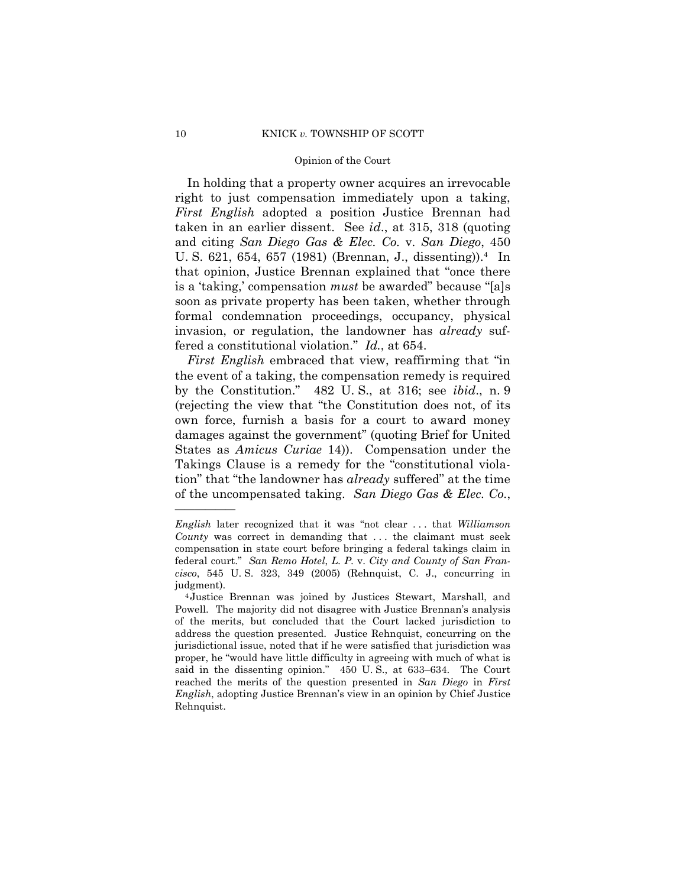In holding that a property owner acquires an irrevocable right to just compensation immediately upon a taking, *First English* adopted a position Justice Brennan had taken in an earlier dissent. See *id*., at 315, 318 (quoting and citing *San Diego Gas & Elec. Co.* v. *San Diego*, 450 U. S. 621, 654, 657 (1981) (Brennan, J., dissenting)).4 In that opinion, Justice Brennan explained that "once there is a 'taking,' compensation *must* be awarded" because "[a]s soon as private property has been taken, whether through formal condemnation proceedings, occupancy, physical invasion, or regulation, the landowner has *already* suffered a constitutional violation." *Id.*, at 654.

*First English* embraced that view, reaffirming that "in the event of a taking, the compensation remedy is required by the Constitution." 482 U. S., at 316; see *ibid*., n. 9 (rejecting the view that "the Constitution does not, of its own force, furnish a basis for a court to award money damages against the government" (quoting Brief for United States as *Amicus Curiae* 14)). Compensation under the Takings Clause is a remedy for the "constitutional violation" that "the landowner has *already* suffered" at the time of the uncompensated taking. *San Diego Gas & Elec. Co.*,

 federal court." *San Remo Hotel*, *L. P.* v. *City and County of San Fran* $cisco$ , 545 U.S. 323, 349 (2005) (Rehnquist, C. J., concurring in *English* later recognized that it was "not clear . . . that *Williamson County* was correct in demanding that . . . the claimant must seek compensation in state court before bringing a federal takings claim in judgment).<br><sup>4</sup> Justice Brennan was joined by Justices Stewart, Marshall, and

Powell. The majority did not disagree with Justice Brennan's analysis of the merits, but concluded that the Court lacked jurisdiction to address the question presented. Justice Rehnquist, concurring on the jurisdictional issue, noted that if he were satisfied that jurisdiction was proper, he "would have little difficulty in agreeing with much of what is said in the dissenting opinion." 450 U. S., at 633–634. The Court reached the merits of the question presented in *San Diego* in *First English*, adopting Justice Brennan's view in an opinion by Chief Justice Rehnquist.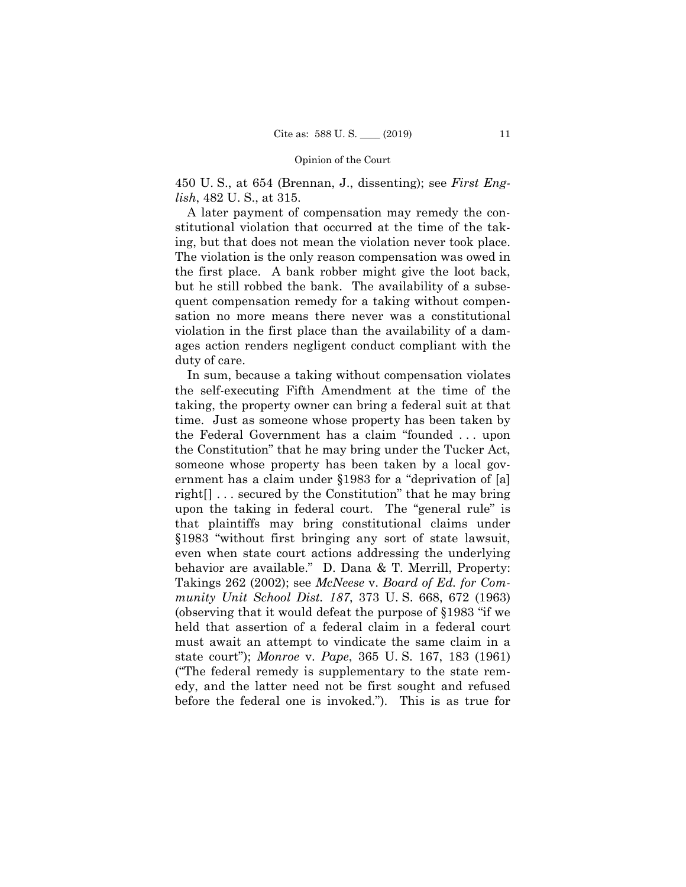450 U. S., at 654 (Brennan, J., dissenting); see *First English*, 482 U. S., at 315.

A later payment of compensation may remedy the constitutional violation that occurred at the time of the taking, but that does not mean the violation never took place. The violation is the only reason compensation was owed in the first place. A bank robber might give the loot back, but he still robbed the bank. The availability of a subsequent compensation remedy for a taking without compensation no more means there never was a constitutional violation in the first place than the availability of a damages action renders negligent conduct compliant with the duty of care.

In sum, because a taking without compensation violates the self-executing Fifth Amendment at the time of the taking, the property owner can bring a federal suit at that time. Just as someone whose property has been taken by the Federal Government has a claim "founded . . . upon the Constitution" that he may bring under the Tucker Act, someone whose property has been taken by a local government has a claim under §1983 for a "deprivation of [a] right[] . . . secured by the Constitution" that he may bring upon the taking in federal court. The "general rule" is that plaintiffs may bring constitutional claims under §1983 "without first bringing any sort of state lawsuit, even when state court actions addressing the underlying behavior are available." D. Dana & T. Merrill, Property: Takings 262 (2002); see *McNeese* v. *Board of Ed. for Community Unit School Dist. 187*, 373 U. S. 668, 672 (1963) (observing that it would defeat the purpose of §1983 "if we held that assertion of a federal claim in a federal court must await an attempt to vindicate the same claim in a state court"); *Monroe* v. *Pape*, 365 U. S. 167, 183 (1961) ("The federal remedy is supplementary to the state remedy, and the latter need not be first sought and refused before the federal one is invoked."). This is as true for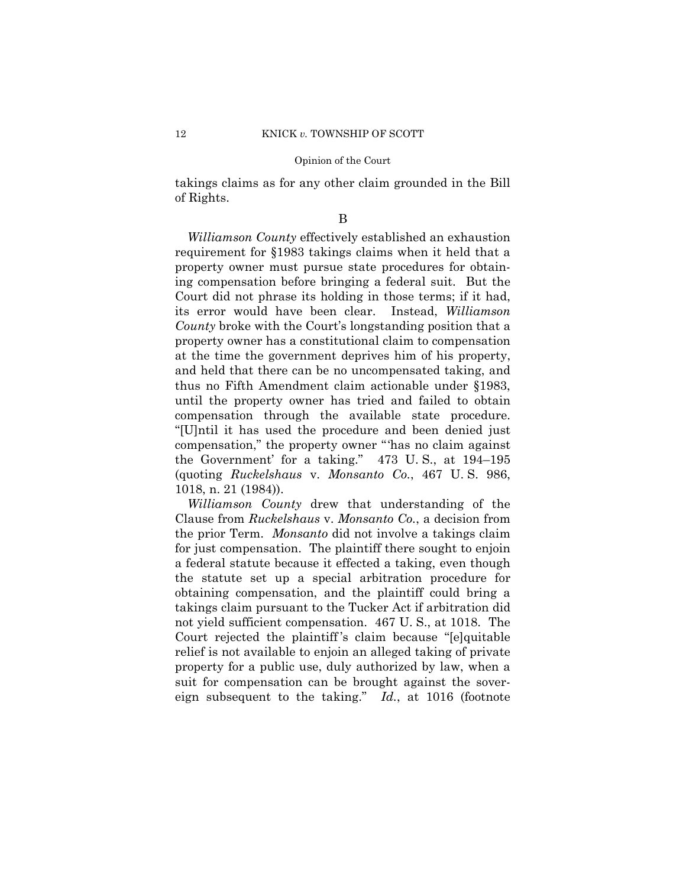takings claims as for any other claim grounded in the Bill of Rights.

## B

*Williamson County* effectively established an exhaustion requirement for §1983 takings claims when it held that a property owner must pursue state procedures for obtaining compensation before bringing a federal suit. But the Court did not phrase its holding in those terms; if it had, its error would have been clear. Instead, *Williamson County* broke with the Court's longstanding position that a property owner has a constitutional claim to compensation at the time the government deprives him of his property, and held that there can be no uncompensated taking, and thus no Fifth Amendment claim actionable under §1983, until the property owner has tried and failed to obtain compensation through the available state procedure. "[U]ntil it has used the procedure and been denied just compensation," the property owner "'has no claim against the Government' for a taking." 473 U. S., at 194–195 (quoting *Ruckelshaus* v. *Monsanto Co.*, 467 U. S. 986, 1018, n. 21 (1984)).

*Williamson County* drew that understanding of the Clause from *Ruckelshaus* v. *Monsanto Co.*, a decision from the prior Term. *Monsanto* did not involve a takings claim for just compensation. The plaintiff there sought to enjoin a federal statute because it effected a taking, even though the statute set up a special arbitration procedure for obtaining compensation, and the plaintiff could bring a takings claim pursuant to the Tucker Act if arbitration did not yield sufficient compensation. 467 U. S., at 1018. The Court rejected the plaintiff 's claim because "[e]quitable relief is not available to enjoin an alleged taking of private property for a public use, duly authorized by law, when a suit for compensation can be brought against the sovereign subsequent to the taking." *Id.*, at 1016 (footnote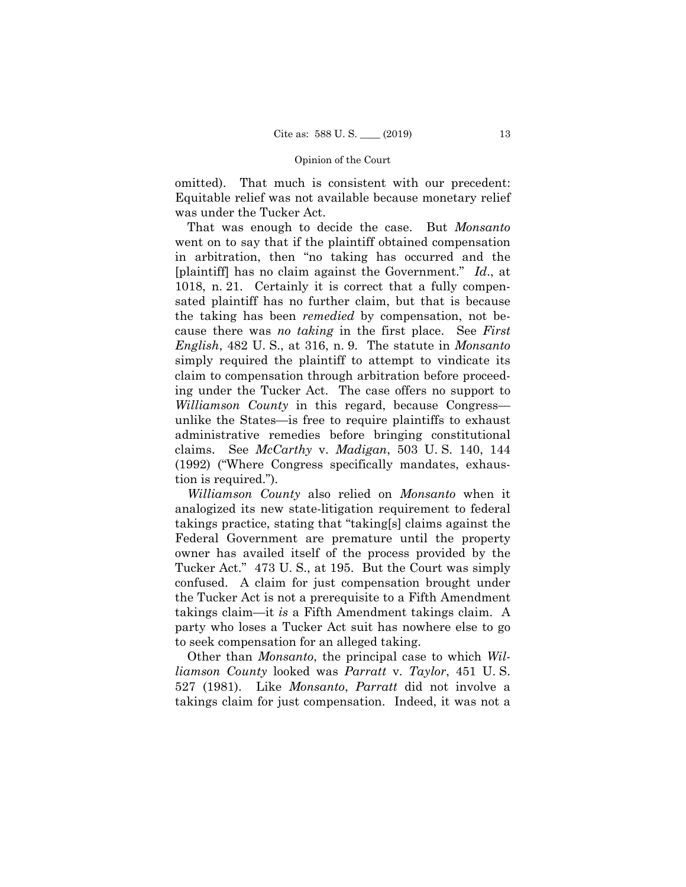omitted). That much is consistent with our precedent: Equitable relief was not available because monetary relief was under the Tucker Act.

That was enough to decide the case. But *Monsanto*  went on to say that if the plaintiff obtained compensation in arbitration, then "no taking has occurred and the [plaintiff] has no claim against the Government." *Id*., at 1018, n. 21. Certainly it is correct that a fully compensated plaintiff has no further claim, but that is because the taking has been *remedied* by compensation, not because there was *no taking* in the first place. See *First English*, 482 U. S., at 316, n. 9. The statute in *Monsanto*  simply required the plaintiff to attempt to vindicate its claim to compensation through arbitration before proceeding under the Tucker Act. The case offers no support to *Williamson County* in this regard, because Congress unlike the States—is free to require plaintiffs to exhaust administrative remedies before bringing constitutional claims. See *McCarthy* v. *Madigan*, 503 U. S. 140, 144 (1992) ("Where Congress specifically mandates, exhaustion is required.").

*Williamson County* also relied on *Monsanto* when it analogized its new state-litigation requirement to federal takings practice, stating that "taking[s] claims against the Federal Government are premature until the property owner has availed itself of the process provided by the Tucker Act." 473 U. S., at 195. But the Court was simply confused. A claim for just compensation brought under the Tucker Act is not a prerequisite to a Fifth Amendment takings claim—it *is* a Fifth Amendment takings claim. A party who loses a Tucker Act suit has nowhere else to go to seek compensation for an alleged taking.

 Other than *Monsanto*, the principal case to which *Williamson County* looked was *Parratt* v. *Taylor*, 451 U. S. 527 (1981). Like *Monsanto*, *Parratt* did not involve a takings claim for just compensation. Indeed, it was not a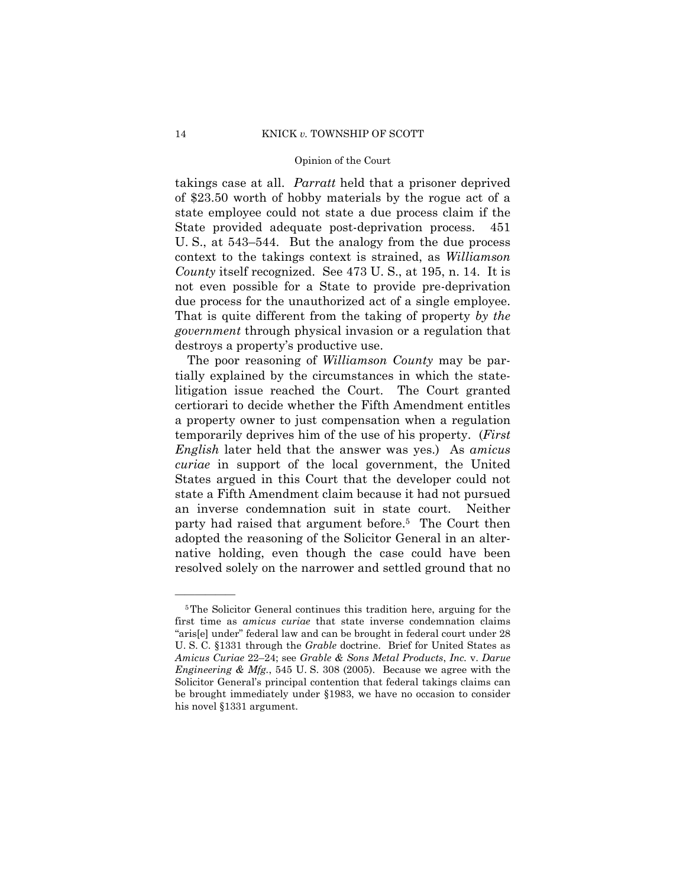takings case at all. *Parratt* held that a prisoner deprived of \$23.50 worth of hobby materials by the rogue act of a state employee could not state a due process claim if the State provided adequate post-deprivation process. 451 U. S., at 543–544. But the analogy from the due process context to the takings context is strained, as *Williamson County* itself recognized. See 473 U. S., at 195, n. 14. It is not even possible for a State to provide pre-deprivation due process for the unauthorized act of a single employee. That is quite different from the taking of property *by the government* through physical invasion or a regulation that destroys a property's productive use.

The poor reasoning of *Williamson County* may be partially explained by the circumstances in which the statelitigation issue reached the Court. The Court granted certiorari to decide whether the Fifth Amendment entitles a property owner to just compensation when a regulation temporarily deprives him of the use of his property. (*First English* later held that the answer was yes.) As *amicus curiae* in support of the local government, the United States argued in this Court that the developer could not state a Fifth Amendment claim because it had not pursued an inverse condemnation suit in state court. Neither party had raised that argument before.5 The Court then adopted the reasoning of the Solicitor General in an alternative holding, even though the case could have been resolved solely on the narrower and settled ground that no

<sup>5</sup>The Solicitor General continues this tradition here, arguing for the first time as *amicus curiae* that state inverse condemnation claims "aris[e] under" federal law and can be brought in federal court under 28 U. S. C. §1331 through the *Grable* doctrine. Brief for United States as *Amicus Curiae* 22–24; see *Grable & Sons Metal Products*, *Inc.* v. *Darue Engineering & Mfg.*, 545 U. S. 308 (2005). Because we agree with the Solicitor General's principal contention that federal takings claims can be brought immediately under §1983, we have no occasion to consider his novel §1331 argument.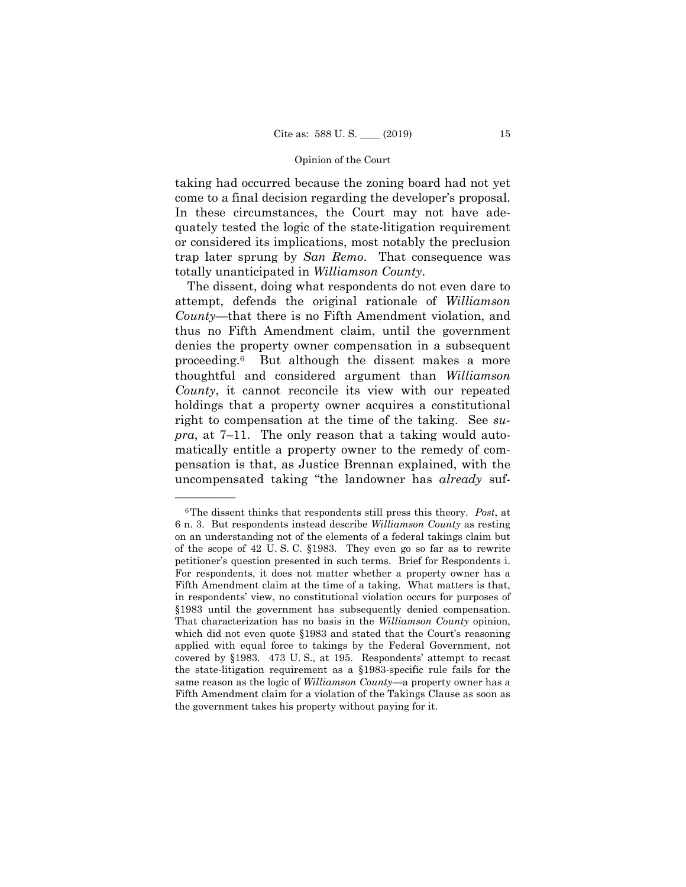taking had occurred because the zoning board had not yet come to a final decision regarding the developer's proposal. In these circumstances, the Court may not have adequately tested the logic of the state-litigation requirement or considered its implications, most notably the preclusion trap later sprung by *San Remo*. That consequence was totally unanticipated in *Williamson County*.

The dissent, doing what respondents do not even dare to attempt, defends the original rationale of *Williamson County*—that there is no Fifth Amendment violation, and thus no Fifth Amendment claim, until the government denies the property owner compensation in a subsequent proceeding.6 But although the dissent makes a more thoughtful and considered argument than *Williamson County*, it cannot reconcile its view with our repeated holdings that a property owner acquires a constitutional right to compensation at the time of the taking. See *supra*, at 7–11. The only reason that a taking would automatically entitle a property owner to the remedy of compensation is that, as Justice Brennan explained, with the uncompensated taking "the landowner has *already* suf-

 6The dissent thinks that respondents still press this theory. *Post*, at petitioner's question presented in such terms. Brief for Respondents i. 6 n. 3. But respondents instead describe *Williamson County* as resting on an understanding not of the elements of a federal takings claim but of the scope of 42 U. S. C. §1983. They even go so far as to rewrite For respondents, it does not matter whether a property owner has a Fifth Amendment claim at the time of a taking. What matters is that, in respondents' view, no constitutional violation occurs for purposes of §1983 until the government has subsequently denied compensation. That characterization has no basis in the *Williamson County* opinion, which did not even quote §1983 and stated that the Court's reasoning applied with equal force to takings by the Federal Government, not covered by §1983. 473 U. S., at 195. Respondents' attempt to recast the state-litigation requirement as a §1983-specific rule fails for the same reason as the logic of *Williamson County*—a property owner has a Fifth Amendment claim for a violation of the Takings Clause as soon as the government takes his property without paying for it.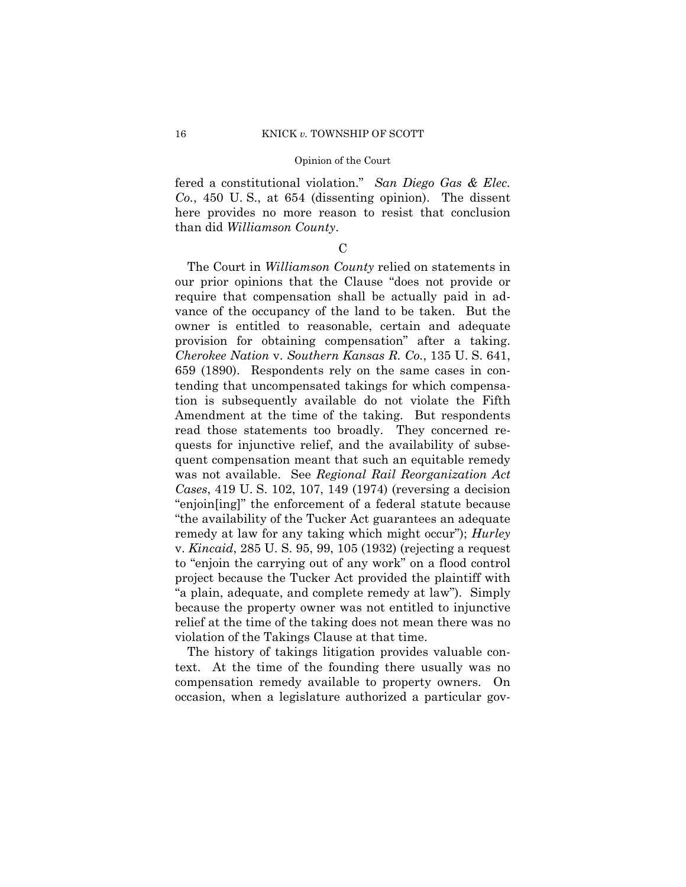fered a constitutional violation." *San Diego Gas & Elec. Co.*, 450 U. S., at 654 (dissenting opinion). The dissent here provides no more reason to resist that conclusion than did *Williamson County*.

# $\mathcal{C}$

The Court in *Williamson County* relied on statements in our prior opinions that the Clause "does not provide or require that compensation shall be actually paid in advance of the occupancy of the land to be taken. But the owner is entitled to reasonable, certain and adequate provision for obtaining compensation" after a taking. *Cherokee Nation* v. *Southern Kansas R. Co.*, 135 U. S. 641, 659 (1890). Respondents rely on the same cases in contending that uncompensated takings for which compensation is subsequently available do not violate the Fifth Amendment at the time of the taking. But respondents read those statements too broadly. They concerned requests for injunctive relief, and the availability of subsequent compensation meant that such an equitable remedy was not available. See *Regional Rail Reorganization Act Cases*, 419 U. S. 102, 107, 149 (1974) (reversing a decision "enjoin[ing]" the enforcement of a federal statute because "the availability of the Tucker Act guarantees an adequate remedy at law for any taking which might occur"); *Hurley*  v. *Kincaid*, 285 U. S. 95, 99, 105 (1932) (rejecting a request to "enjoin the carrying out of any work" on a flood control project because the Tucker Act provided the plaintiff with "a plain, adequate, and complete remedy at law"). Simply because the property owner was not entitled to injunctive relief at the time of the taking does not mean there was no violation of the Takings Clause at that time.

The history of takings litigation provides valuable context. At the time of the founding there usually was no compensation remedy available to property owners. On occasion, when a legislature authorized a particular gov-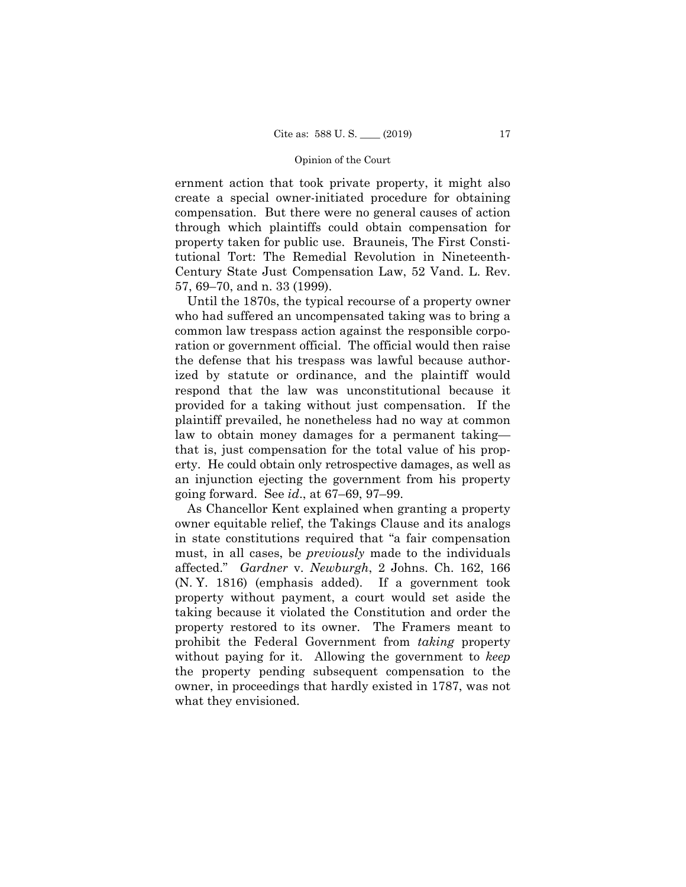ernment action that took private property, it might also create a special owner-initiated procedure for obtaining compensation. But there were no general causes of action through which plaintiffs could obtain compensation for property taken for public use. Brauneis, The First Constitutional Tort: The Remedial Revolution in Nineteenth-Century State Just Compensation Law, 52 Vand. L. Rev. 57, 69–70, and n. 33 (1999).

Until the 1870s, the typical recourse of a property owner who had suffered an uncompensated taking was to bring a common law trespass action against the responsible corporation or government official. The official would then raise the defense that his trespass was lawful because authorized by statute or ordinance, and the plaintiff would respond that the law was unconstitutional because it provided for a taking without just compensation. If the plaintiff prevailed, he nonetheless had no way at common law to obtain money damages for a permanent taking that is, just compensation for the total value of his property. He could obtain only retrospective damages, as well as an injunction ejecting the government from his property going forward. See *id*., at 67–69, 97–99.

As Chancellor Kent explained when granting a property owner equitable relief, the Takings Clause and its analogs in state constitutions required that "a fair compensation must, in all cases, be *previously* made to the individuals affected." *Gardner* v. *Newburgh*, 2 Johns. Ch. 162, 166 (N. Y. 1816) (emphasis added). If a government took property without payment, a court would set aside the taking because it violated the Constitution and order the property restored to its owner. The Framers meant to prohibit the Federal Government from *taking* property without paying for it. Allowing the government to *keep* the property pending subsequent compensation to the owner, in proceedings that hardly existed in 1787, was not what they envisioned.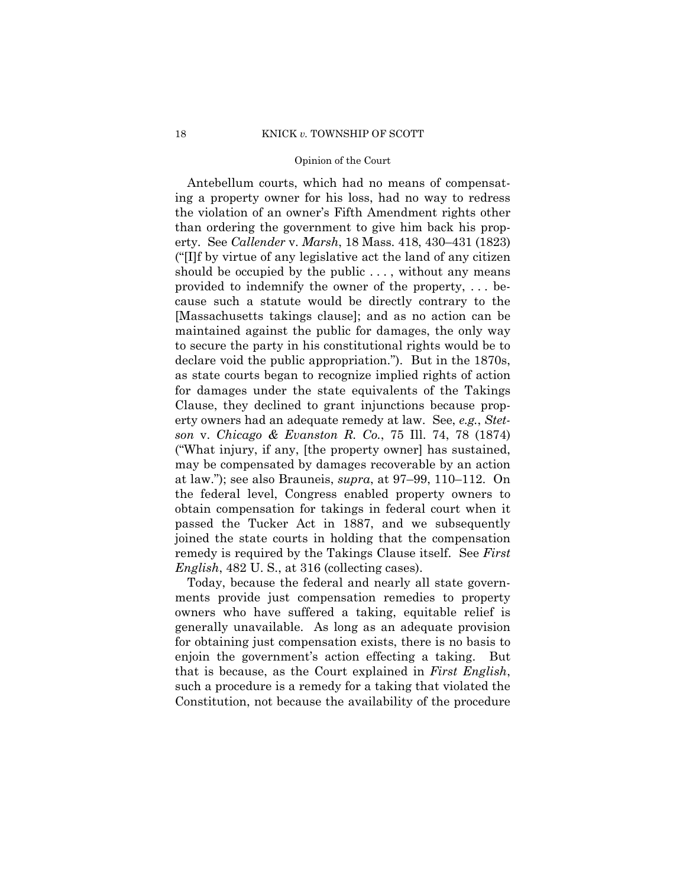Antebellum courts, which had no means of compensating a property owner for his loss, had no way to redress the violation of an owner's Fifth Amendment rights other than ordering the government to give him back his property. See *Callender* v. *Marsh*, 18 Mass. 418, 430–431 (1823) ("[I]f by virtue of any legislative act the land of any citizen should be occupied by the public  $\dots$ , without any means provided to indemnify the owner of the property, . . . because such a statute would be directly contrary to the [Massachusetts takings clause]; and as no action can be maintained against the public for damages, the only way to secure the party in his constitutional rights would be to declare void the public appropriation."). But in the 1870s, as state courts began to recognize implied rights of action for damages under the state equivalents of the Takings Clause, they declined to grant injunctions because property owners had an adequate remedy at law. See, *e.g.*, *Stetson* v. *Chicago & Evanston R. Co.*, 75 Ill. 74, 78 (1874) ("What injury, if any, [the property owner] has sustained, may be compensated by damages recoverable by an action at law."); see also Brauneis, *supra*, at 97–99, 110–112. On the federal level, Congress enabled property owners to obtain compensation for takings in federal court when it passed the Tucker Act in 1887, and we subsequently joined the state courts in holding that the compensation remedy is required by the Takings Clause itself. See *First English*, 482 U. S., at 316 (collecting cases).

Today, because the federal and nearly all state governments provide just compensation remedies to property owners who have suffered a taking, equitable relief is generally unavailable. As long as an adequate provision for obtaining just compensation exists, there is no basis to enjoin the government's action effecting a taking. But that is because, as the Court explained in *First English*, such a procedure is a remedy for a taking that violated the Constitution, not because the availability of the procedure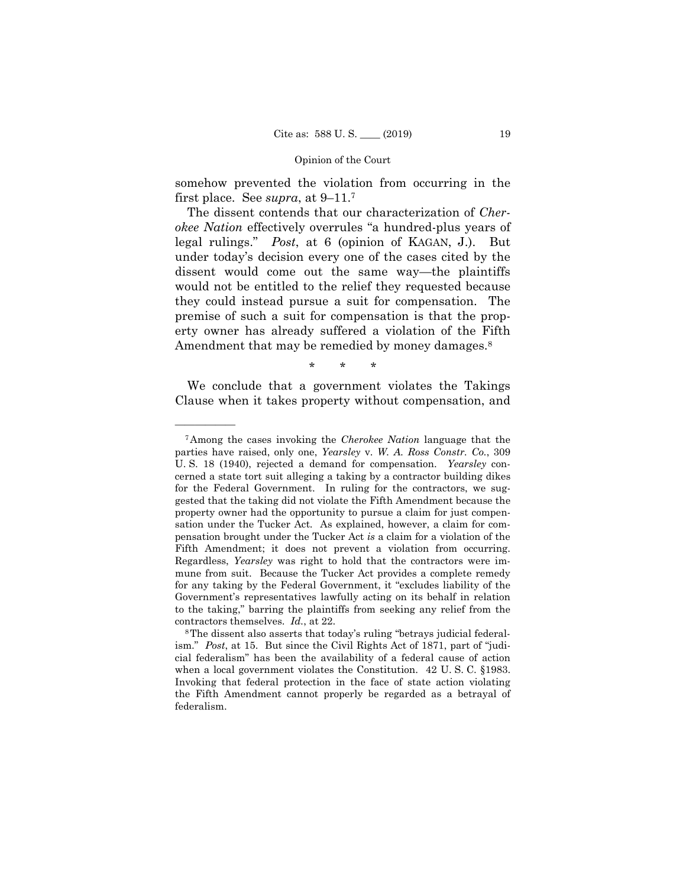somehow prevented the violation from occurring in the first place. See *supra*, at 9–11.7

The dissent contends that our characterization of *Cherokee Nation* effectively overrules "a hundred-plus years of legal rulings." *Post*, at 6 (opinion of KAGAN, J.). But under today's decision every one of the cases cited by the dissent would come out the same way—the plaintiffs would not be entitled to the relief they requested because they could instead pursue a suit for compensation. The premise of such a suit for compensation is that the property owner has already suffered a violation of the Fifth Amendment that may be remedied by money damages.<sup>8</sup>

\* \* \*

We conclude that a government violates the Takings Clause when it takes property without compensation, and

 cerned a state tort suit alleging a taking by a contractor building dikes 7Among the cases invoking the *Cherokee Nation* language that the parties have raised, only one, *Yearsley* v. *W. A. Ross Constr. Co.*, 309 U. S. 18 (1940), rejected a demand for compensation. *Yearsley* confor the Federal Government. In ruling for the contractors, we suggested that the taking did not violate the Fifth Amendment because the property owner had the opportunity to pursue a claim for just compensation under the Tucker Act. As explained, however, a claim for compensation brought under the Tucker Act *is* a claim for a violation of the Fifth Amendment; it does not prevent a violation from occurring. Regardless, *Yearsley* was right to hold that the contractors were immune from suit. Because the Tucker Act provides a complete remedy for any taking by the Federal Government, it "excludes liability of the Government's representatives lawfully acting on its behalf in relation to the taking," barring the plaintiffs from seeking any relief from the

 Invoking that federal protection in the face of state action violating contractors themselves. *Id.*, at 22.<br><sup>8</sup>The dissent also asserts that today's ruling "betrays judicial federalism." *Post*, at 15. But since the Civil Rights Act of 1871, part of "judicial federalism" has been the availability of a federal cause of action when a local government violates the Constitution. 42 U. S. C. §1983. the Fifth Amendment cannot properly be regarded as a betrayal of federalism.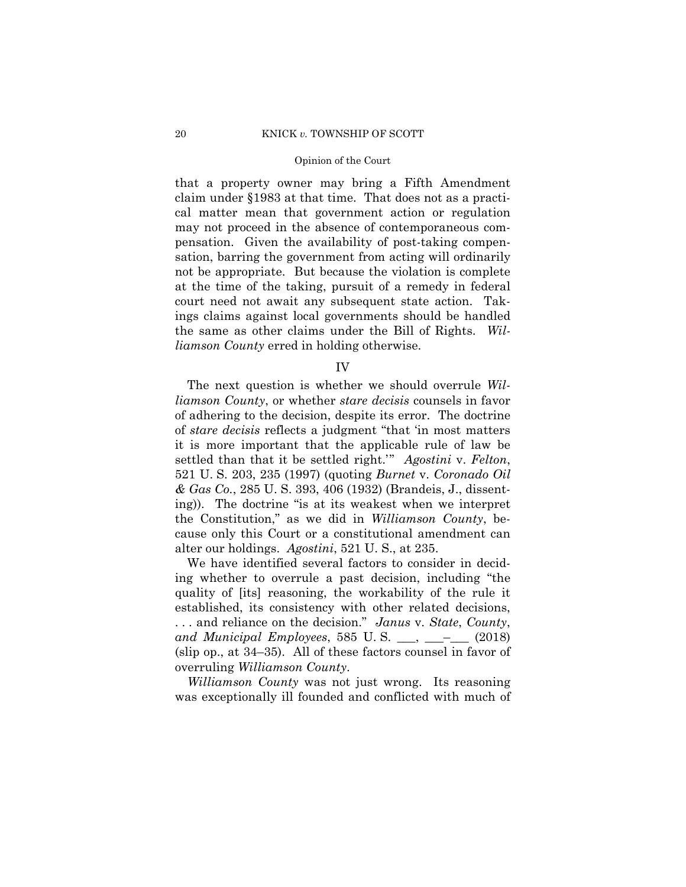that a property owner may bring a Fifth Amendment claim under §1983 at that time. That does not as a practical matter mean that government action or regulation may not proceed in the absence of contemporaneous compensation. Given the availability of post-taking compensation, barring the government from acting will ordinarily not be appropriate. But because the violation is complete at the time of the taking, pursuit of a remedy in federal court need not await any subsequent state action. Takings claims against local governments should be handled the same as other claims under the Bill of Rights. *Williamson County* erred in holding otherwise.

IV

The next question is whether we should overrule *Williamson County*, or whether *stare decisis* counsels in favor of adhering to the decision, despite its error. The doctrine of *stare decisis* reflects a judgment "that 'in most matters it is more important that the applicable rule of law be settled than that it be settled right.'" *Agostini* v. *Felton*, 521 U. S. 203, 235 (1997) (quoting *Burnet* v. *Coronado Oil & Gas Co.*, 285 U. S. 393, 406 (1932) (Brandeis, J., dissenting)). The doctrine "is at its weakest when we interpret the Constitution," as we did in *Williamson County*, because only this Court or a constitutional amendment can alter our holdings. *Agostini*, 521 U. S., at 235.

We have identified several factors to consider in deciding whether to overrule a past decision, including "the quality of [its] reasoning, the workability of the rule it established, its consistency with other related decisions, . . . and reliance on the decision." *Janus* v. *State*, *County*, *and Municipal Employees*, 585 U. S. \_\_\_, \_\_\_–\_\_\_ (2018) (slip op., at 34–35). All of these factors counsel in favor of overruling *Williamson County*.

*Williamson County* was not just wrong. Its reasoning was exceptionally ill founded and conflicted with much of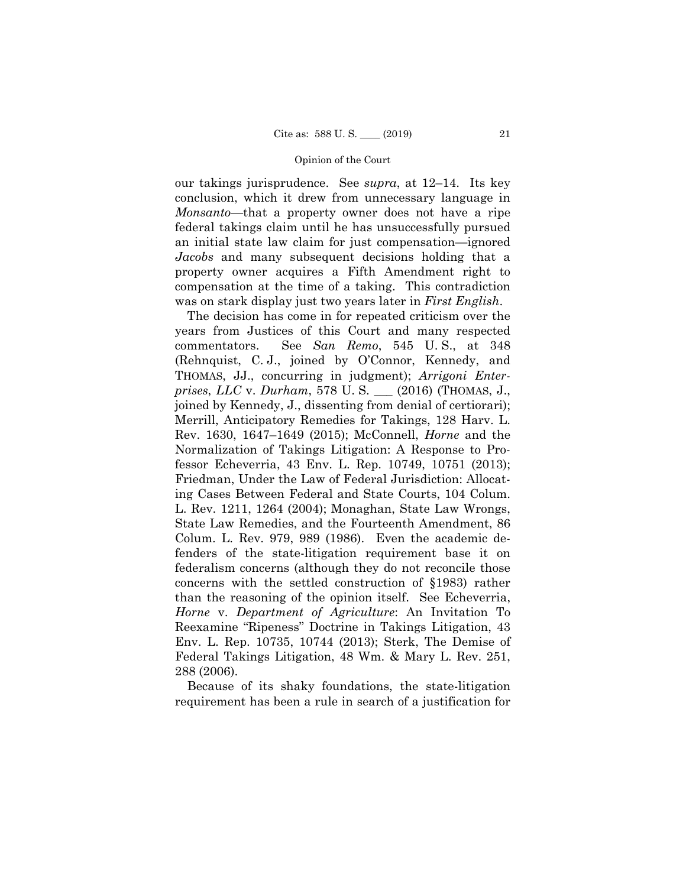our takings jurisprudence. See *supra*, at 12–14. Its key conclusion, which it drew from unnecessary language in *Monsanto*—that a property owner does not have a ripe federal takings claim until he has unsuccessfully pursued an initial state law claim for just compensation—ignored *Jacobs* and many subsequent decisions holding that a property owner acquires a Fifth Amendment right to compensation at the time of a taking. This contradiction was on stark display just two years later in *First English*.

The decision has come in for repeated criticism over the years from Justices of this Court and many respected commentators. See *San Remo*, 545 U. S., at 348 (Rehnquist, C. J., joined by O'Connor, Kennedy, and THOMAS, JJ., concurring in judgment); *Arrigoni Enterprises*, *LLC* v. *Durham*, 578 U. S. \_\_\_ (2016) (THOMAS, J., joined by Kennedy, J., dissenting from denial of certiorari); Merrill, Anticipatory Remedies for Takings, 128 Harv. L. Rev. 1630, 1647–1649 (2015); McConnell, *Horne* and the Normalization of Takings Litigation: A Response to Professor Echeverria, 43 Env. L. Rep. 10749, 10751 (2013); Friedman, Under the Law of Federal Jurisdiction: Allocating Cases Between Federal and State Courts, 104 Colum. L. Rev. 1211, 1264 (2004); Monaghan, State Law Wrongs, State Law Remedies, and the Fourteenth Amendment, 86 Colum. L. Rev. 979, 989 (1986). Even the academic defenders of the state-litigation requirement base it on federalism concerns (although they do not reconcile those concerns with the settled construction of §1983) rather than the reasoning of the opinion itself. See Echeverria, *Horne* v. *Department of Agriculture*: An Invitation To Reexamine "Ripeness" Doctrine in Takings Litigation, 43 Env. L. Rep. 10735, 10744 (2013); Sterk, The Demise of Federal Takings Litigation, 48 Wm. & Mary L. Rev. 251, 288 (2006).

Because of its shaky foundations, the state-litigation requirement has been a rule in search of a justification for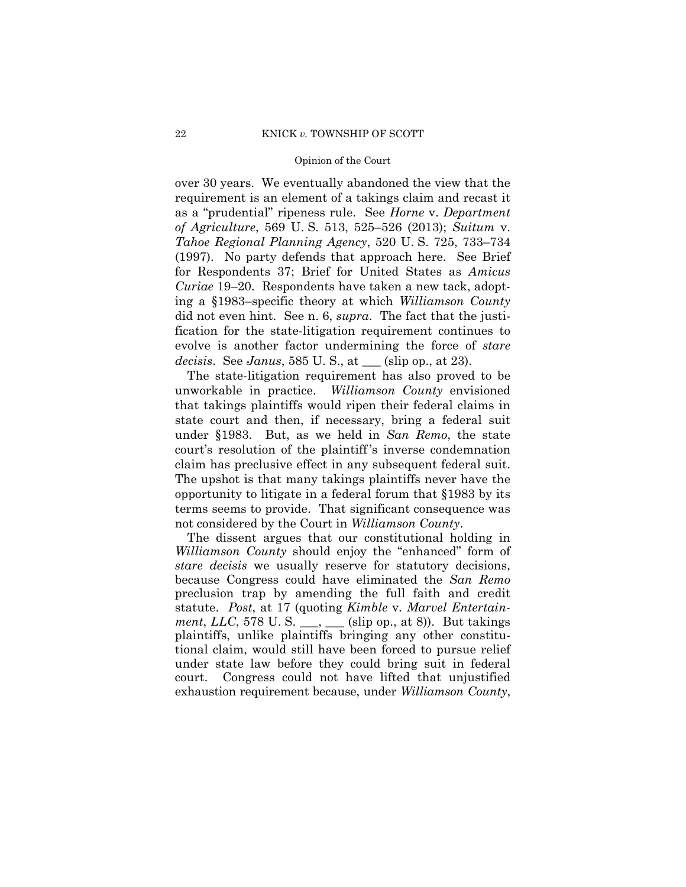over 30 years. We eventually abandoned the view that the requirement is an element of a takings claim and recast it as a "prudential" ripeness rule. See *Horne* v. *Department of Agriculture*, 569 U. S. 513, 525–526 (2013); *Suitum* v. *Tahoe Regional Planning Agency*, 520 U. S. 725, 733–734 (1997). No party defends that approach here. See Brief for Respondents 37; Brief for United States as *Amicus Curiae* 19–20. Respondents have taken a new tack, adopting a §1983–specific theory at which *Williamson County* did not even hint. See n. 6, *supra*. The fact that the justification for the state-litigation requirement continues to evolve is another factor undermining the force of *stare decisis*. See *Janus*, 585 U. S., at \_\_\_ (slip op., at 23).

The state-litigation requirement has also proved to be unworkable in practice. *Williamson County* envisioned that takings plaintiffs would ripen their federal claims in state court and then, if necessary, bring a federal suit under §1983. But, as we held in *San Remo*, the state court's resolution of the plaintiff 's inverse condemnation claim has preclusive effect in any subsequent federal suit. The upshot is that many takings plaintiffs never have the opportunity to litigate in a federal forum that §1983 by its terms seems to provide. That significant consequence was not considered by the Court in *Williamson County*.

The dissent argues that our constitutional holding in *Williamson County* should enjoy the "enhanced" form of *stare decisis* we usually reserve for statutory decisions, because Congress could have eliminated the *San Remo*  preclusion trap by amending the full faith and credit statute. *Post*, at 17 (quoting *Kimble* v. *Marvel Entertainment*, *LLC*, 578 U. S. \_\_\_, \_\_\_ (slip op., at 8)). But takings plaintiffs, unlike plaintiffs bringing any other constitutional claim, would still have been forced to pursue relief under state law before they could bring suit in federal court. Congress could not have lifted that unjustified exhaustion requirement because, under *Williamson County*,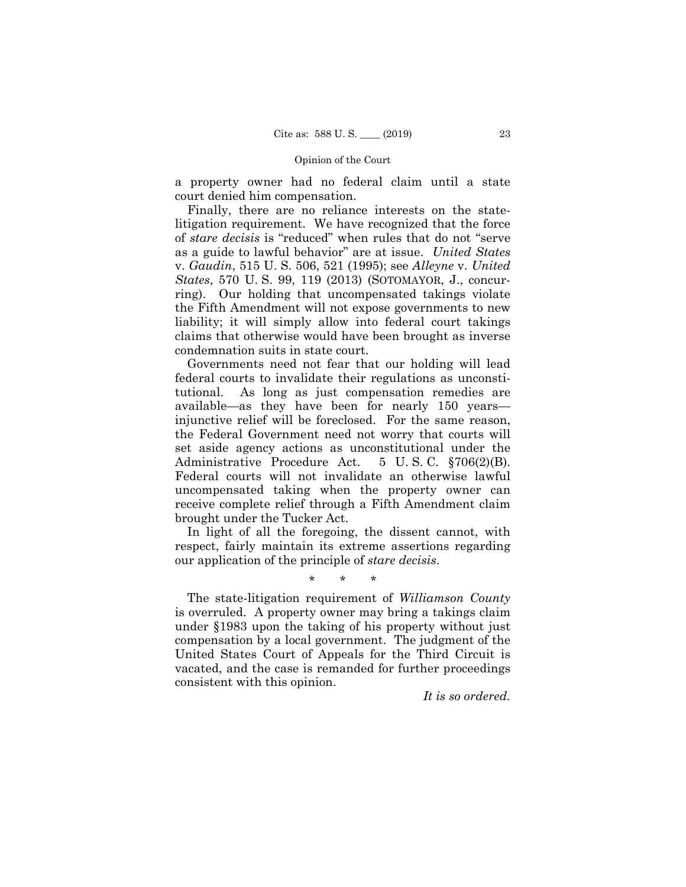a property owner had no federal claim until a state court denied him compensation.

Finally, there are no reliance interests on the statelitigation requirement. We have recognized that the force of *stare decisis* is "reduced" when rules that do not "serve as a guide to lawful behavior" are at issue. *United States*  v. *Gaudin*, 515 U. S. 506, 521 (1995); see *Alleyne* v. *United States*, 570 U. S. 99, 119 (2013) (SOTOMAYOR, J., concurring). Our holding that uncompensated takings violate the Fifth Amendment will not expose governments to new liability; it will simply allow into federal court takings claims that otherwise would have been brought as inverse condemnation suits in state court.

Governments need not fear that our holding will lead federal courts to invalidate their regulations as unconstitutional. As long as just compensation remedies are available—as they have been for nearly 150 years injunctive relief will be foreclosed. For the same reason, the Federal Government need not worry that courts will set aside agency actions as unconstitutional under the Administrative Procedure Act. 5 U. S. C. §706(2)(B). Federal courts will not invalidate an otherwise lawful uncompensated taking when the property owner can receive complete relief through a Fifth Amendment claim brought under the Tucker Act.

In light of all the foregoing, the dissent cannot, with respect, fairly maintain its extreme assertions regarding our application of the principle of *stare decisis*.

\* \* \*

The state-litigation requirement of *Williamson County*  is overruled. A property owner may bring a takings claim under §1983 upon the taking of his property without just compensation by a local government. The judgment of the United States Court of Appeals for the Third Circuit is vacated, and the case is remanded for further proceedings consistent with this opinion.

*It is so ordered.*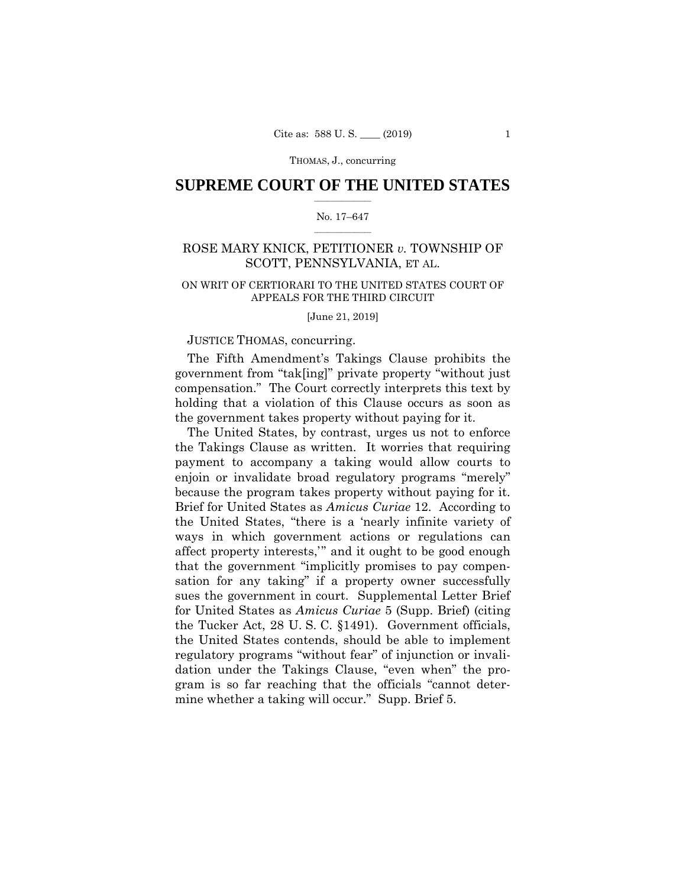THOMAS, J., concurring

# $\frac{1}{2}$  , where  $\frac{1}{2}$ **SUPREME COURT OF THE UNITED STATES**

## $\frac{1}{2}$  ,  $\frac{1}{2}$  ,  $\frac{1}{2}$  ,  $\frac{1}{2}$  ,  $\frac{1}{2}$  ,  $\frac{1}{2}$ No. 17–647

# ROSE MARY KNICK, PETITIONER *v.* TOWNSHIP OF SCOTT, PENNSYLVANIA, ET AL.

# ON WRIT OF CERTIORARI TO THE UNITED STATES COURT OF APPEALS FOR THE THIRD CIRCUIT

[June 21, 2019]

# JUSTICE THOMAS, concurring.

The Fifth Amendment's Takings Clause prohibits the government from "tak[ing]" private property "without just compensation." The Court correctly interprets this text by holding that a violation of this Clause occurs as soon as the government takes property without paying for it.

 because the program takes property without paying for it. The United States, by contrast, urges us not to enforce the Takings Clause as written. It worries that requiring payment to accompany a taking would allow courts to enjoin or invalidate broad regulatory programs "merely" Brief for United States as *Amicus Curiae* 12. According to the United States, "there is a 'nearly infinite variety of ways in which government actions or regulations can affect property interests,'" and it ought to be good enough that the government "implicitly promises to pay compensation for any taking" if a property owner successfully sues the government in court. Supplemental Letter Brief for United States as *Amicus Curiae* 5 (Supp. Brief) (citing the Tucker Act, 28 U. S. C. §1491). Government officials, the United States contends, should be able to implement regulatory programs "without fear" of injunction or invalidation under the Takings Clause, "even when" the program is so far reaching that the officials "cannot determine whether a taking will occur." Supp. Brief 5.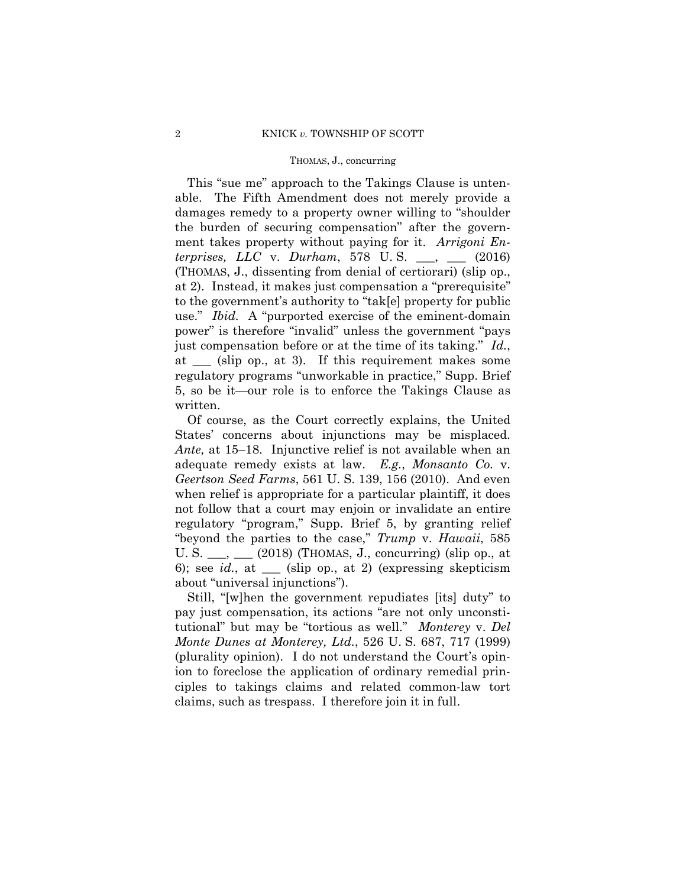# THOMAS, J., concurring

 just compensation before or at the time of its taking." *Id.*, This "sue me" approach to the Takings Clause is untenable. The Fifth Amendment does not merely provide a damages remedy to a property owner willing to "shoulder the burden of securing compensation" after the government takes property without paying for it. *Arrigoni Enterprises, LLC* v. *Durham*, 578 U. S. \_\_\_, \_\_\_ (2016) (THOMAS, J., dissenting from denial of certiorari) (slip op., at 2). Instead, it makes just compensation a "prerequisite" to the government's authority to "tak[e] property for public use." *Ibid.* A "purported exercise of the eminent-domain power" is therefore "invalid" unless the government "pays at \_\_\_ (slip op., at 3). If this requirement makes some regulatory programs "unworkable in practice," Supp. Brief 5, so be it—our role is to enforce the Takings Clause as written.

Of course, as the Court correctly explains, the United States' concerns about injunctions may be misplaced. *Ante,* at 15–18. Injunctive relief is not available when an adequate remedy exists at law. *E.g.*, *Monsanto Co.* v. *Geertson Seed Farms*, 561 U. S. 139, 156 (2010). And even when relief is appropriate for a particular plaintiff, it does not follow that a court may enjoin or invalidate an entire regulatory "program," Supp. Brief 5, by granting relief "beyond the parties to the case," *Trump* v. *Hawaii*, 585 U. S.  $\_\_\_\_\_\_\_\_\_\$  (2018) (THOMAS, J., concurring) (slip op., at 6); see  $id.$ , at  $\_\_$  (slip op., at 2) (expressing skepticism about "universal injunctions").

Still, "[w]hen the government repudiates [its] duty" to pay just compensation, its actions "are not only unconstitutional" but may be "tortious as well." *Monterey* v. *Del Monte Dunes at Monterey, Ltd.*, 526 U. S. 687, 717 (1999) (plurality opinion). I do not understand the Court's opinion to foreclose the application of ordinary remedial principles to takings claims and related common-law tort claims, such as trespass. I therefore join it in full.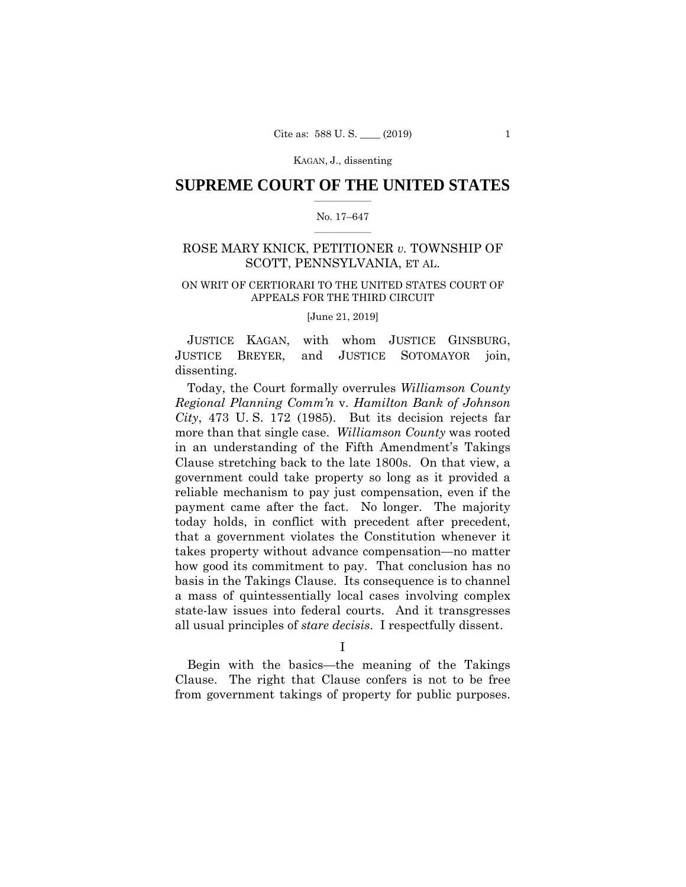# $\frac{1}{2}$  , where  $\frac{1}{2}$ **SUPREME COURT OF THE UNITED STATES**

## $\frac{1}{2}$  ,  $\frac{1}{2}$  ,  $\frac{1}{2}$  ,  $\frac{1}{2}$  ,  $\frac{1}{2}$  ,  $\frac{1}{2}$ No. 17–647

# ROSE MARY KNICK, PETITIONER *v.* TOWNSHIP OF SCOTT, PENNSYLVANIA, ET AL.

# ON WRIT OF CERTIORARI TO THE UNITED STATES COURT OF APPEALS FOR THE THIRD CIRCUIT

[June 21, 2019]

JUSTICE KAGAN, with whom JUSTICE GINSBURG, JUSTICE BREYER, and JUSTICE SOTOMAYOR join, dissenting.

Today, the Court formally overrules *Williamson County Regional Planning Comm'n* v. *Hamilton Bank of Johnson City*, 473 U. S. 172 (1985). But its decision rejects far more than that single case. *Williamson County* was rooted in an understanding of the Fifth Amendment's Takings Clause stretching back to the late 1800s. On that view, a government could take property so long as it provided a reliable mechanism to pay just compensation, even if the payment came after the fact. No longer. The majority today holds, in conflict with precedent after precedent, that a government violates the Constitution whenever it takes property without advance compensation—no matter how good its commitment to pay. That conclusion has no basis in the Takings Clause. Its consequence is to channel a mass of quintessentially local cases involving complex state-law issues into federal courts. And it transgresses all usual principles of *stare decisis*. I respectfully dissent.

I

Begin with the basics—the meaning of the Takings Clause. The right that Clause confers is not to be free from government takings of property for public purposes.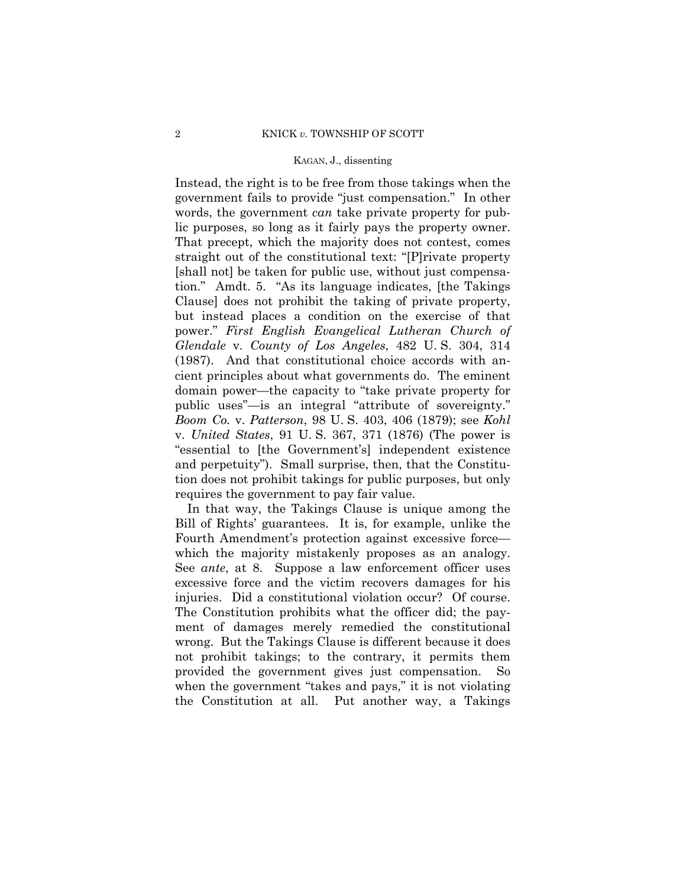Instead, the right is to be free from those takings when the government fails to provide "just compensation." In other words, the government *can* take private property for public purposes, so long as it fairly pays the property owner. That precept, which the majority does not contest, comes straight out of the constitutional text: "[P]rivate property [shall not] be taken for public use, without just compensation." Amdt. 5. "As its language indicates, [the Takings Clause] does not prohibit the taking of private property, but instead places a condition on the exercise of that power." *First English Evangelical Lutheran Church of Glendale* v. *County of Los Angeles*, 482 U. S. 304, 314 (1987). And that constitutional choice accords with ancient principles about what governments do. The eminent domain power—the capacity to "take private property for public uses"—is an integral "attribute of sovereignty." *Boom Co.* v. *Patterson*, 98 U. S. 403, 406 (1879); see *Kohl*  v. *United States*, 91 U. S. 367, 371 (1876) (The power is "essential to [the Government's] independent existence and perpetuity"). Small surprise, then, that the Constitution does not prohibit takings for public purposes, but only requires the government to pay fair value.

In that way, the Takings Clause is unique among the Bill of Rights' guarantees. It is, for example, unlike the Fourth Amendment's protection against excessive force which the majority mistakenly proposes as an analogy. See *ante*, at 8. Suppose a law enforcement officer uses excessive force and the victim recovers damages for his injuries. Did a constitutional violation occur? Of course. The Constitution prohibits what the officer did; the payment of damages merely remedied the constitutional wrong. But the Takings Clause is different because it does not prohibit takings; to the contrary, it permits them provided the government gives just compensation. So when the government "takes and pays," it is not violating the Constitution at all. Put another way, a Takings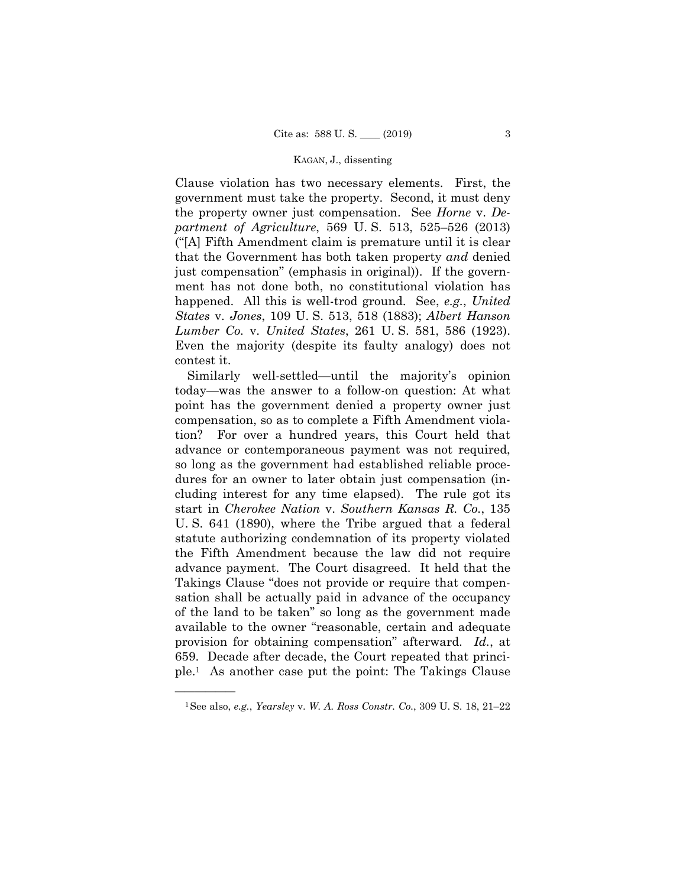Clause violation has two necessary elements. First, the government must take the property. Second, it must deny the property owner just compensation. See *Horne* v. *Department of Agriculture*, 569 U. S. 513, 525–526 (2013) ("[A] Fifth Amendment claim is premature until it is clear that the Government has both taken property *and* denied just compensation" (emphasis in original)). If the government has not done both, no constitutional violation has happened. All this is well-trod ground. See, *e.g.*, *United States* v. *Jones*, 109 U. S. 513, 518 (1883); *Albert Hanson Lumber Co.* v. *United States*, 261 U. S. 581, 586 (1923). Even the majority (despite its faulty analogy) does not contest it.

Similarly well-settled—until the majority's opinion today—was the answer to a follow-on question: At what point has the government denied a property owner just compensation, so as to complete a Fifth Amendment violation? For over a hundred years, this Court held that advance or contemporaneous payment was not required, so long as the government had established reliable procedures for an owner to later obtain just compensation (including interest for any time elapsed). The rule got its start in *Cherokee Nation* v. *Southern Kansas R. Co.*, 135 U. S. 641 (1890), where the Tribe argued that a federal statute authorizing condemnation of its property violated the Fifth Amendment because the law did not require advance payment. The Court disagreed. It held that the Takings Clause "does not provide or require that compensation shall be actually paid in advance of the occupancy of the land to be taken" so long as the government made available to the owner "reasonable, certain and adequate provision for obtaining compensation" afterward. *Id.*, at 659. Decade after decade, the Court repeated that principle.1 As another case put the point: The Takings Clause

<sup>1</sup>See also, *e.g.*, *Yearsley* v. *W. A. Ross Constr. Co.*, 309 U. S. 18, 21–22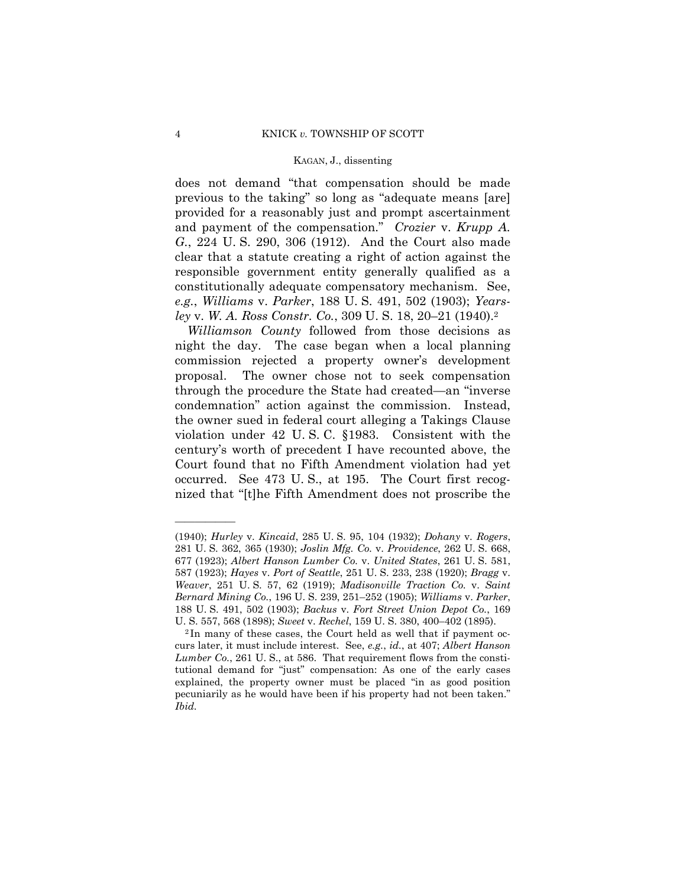does not demand "that compensation should be made previous to the taking" so long as "adequate means [are] provided for a reasonably just and prompt ascertainment and payment of the compensation." *Crozier* v. *Krupp A. G.*, 224 U. S. 290, 306 (1912). And the Court also made clear that a statute creating a right of action against the responsible government entity generally qualified as a constitutionally adequate compensatory mechanism. See, *e.g.*, *Williams* v. *Parker*, 188 U. S. 491, 502 (1903); *Yearsley* v. *W. A. Ross Constr. Co.*, 309 U. S. 18, 20–21 (1940).2

*Williamson County* followed from those decisions as night the day. The case began when a local planning commission rejected a property owner's development proposal. The owner chose not to seek compensation through the procedure the State had created—an "inverse condemnation" action against the commission. Instead, the owner sued in federal court alleging a Takings Clause violation under 42 U. S. C. §1983. Consistent with the century's worth of precedent I have recounted above, the Court found that no Fifth Amendment violation had yet occurred. See 473 U. S., at 195. The Court first recognized that "[t]he Fifth Amendment does not proscribe the

<sup>(1940);</sup> *Hurley* v. *Kincaid*, 285 U. S. 95, 104 (1932); *Dohany* v. *Rogers*, 281 U. S. 362, 365 (1930); *Joslin Mfg. Co.* v. *Providence*, 262 U. S. 668, 677 (1923); *Albert Hanson Lumber Co.* v. *United States*, 261 U. S. 581, 587 (1923); *Hayes* v. *Port of Seattle*, 251 U. S. 233, 238 (1920); *Bragg* v. *Weaver*, 251 U. S. 57, 62 (1919); *Madisonville Traction Co.* v. *Saint Bernard Mining Co.*, 196 U. S. 239, 251–252 (1905); *Williams* v. *Parker*, 188 U. S. 491, 502 (1903); *Backus* v. *Fort Street Union Depot Co.*, 169

U. S. 557, 568 (1898); *Sweet* v. *Rechel*, 159 U. S. 380, 400–402 (1895). <sup>2</sup> In many of these cases, the Court held as well that if payment occurs later, it must include interest. See, *e.g.*, *id.*, at 407; *Albert Hanson Lumber Co.*, 261 U. S., at 586. That requirement flows from the constitutional demand for "just" compensation: As one of the early cases explained, the property owner must be placed "in as good position pecuniarily as he would have been if his property had not been taken." *Ibid.*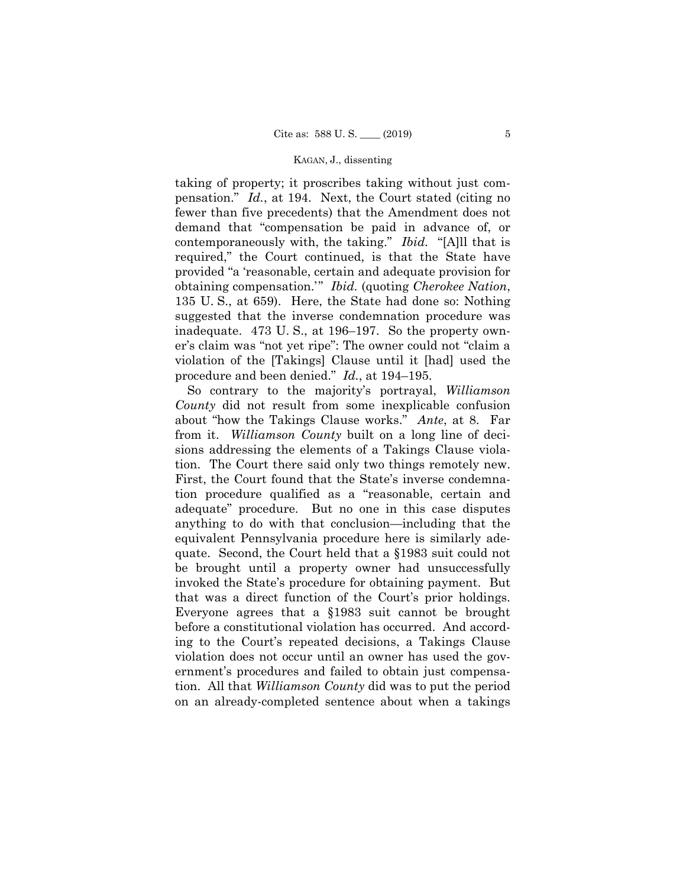taking of property; it proscribes taking without just compensation." *Id.*, at 194. Next, the Court stated (citing no fewer than five precedents) that the Amendment does not demand that "compensation be paid in advance of, or contemporaneously with, the taking." *Ibid.* "[A]ll that is required," the Court continued, is that the State have provided "a 'reasonable, certain and adequate provision for obtaining compensation.'" *Ibid.* (quoting *Cherokee Nation*, 135 U. S., at 659). Here, the State had done so: Nothing suggested that the inverse condemnation procedure was inadequate. 473 U. S., at 196–197. So the property owner's claim was "not yet ripe": The owner could not "claim a violation of the [Takings] Clause until it [had] used the procedure and been denied." *Id.*, at 194–195.

So contrary to the majority's portrayal, *Williamson County* did not result from some inexplicable confusion about "how the Takings Clause works." *Ante*, at 8. Far from it. *Williamson County* built on a long line of decisions addressing the elements of a Takings Clause violation. The Court there said only two things remotely new. First, the Court found that the State's inverse condemnation procedure qualified as a "reasonable, certain and adequate" procedure. But no one in this case disputes anything to do with that conclusion—including that the equivalent Pennsylvania procedure here is similarly adequate. Second, the Court held that a §1983 suit could not be brought until a property owner had unsuccessfully invoked the State's procedure for obtaining payment. But that was a direct function of the Court's prior holdings. Everyone agrees that a §1983 suit cannot be brought before a constitutional violation has occurred. And according to the Court's repeated decisions, a Takings Clause violation does not occur until an owner has used the government's procedures and failed to obtain just compensation. All that *Williamson County* did was to put the period on an already-completed sentence about when a takings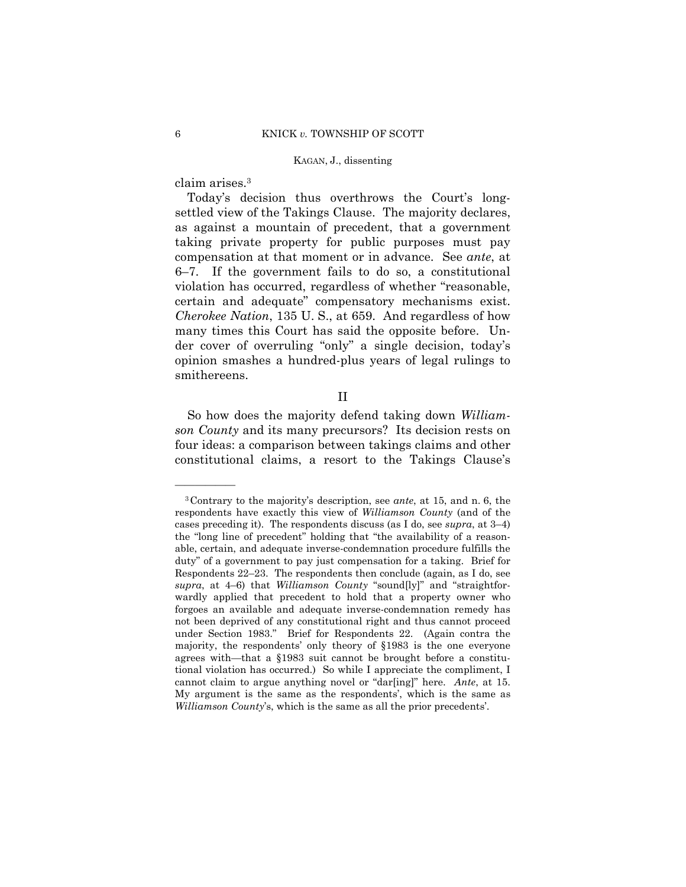claim arises.3

——————

 certain and adequate" compensatory mechanisms exist. Today's decision thus overthrows the Court's longsettled view of the Takings Clause. The majority declares, as against a mountain of precedent, that a government taking private property for public purposes must pay compensation at that moment or in advance. See *ante*, at 6–7. If the government fails to do so, a constitutional violation has occurred, regardless of whether "reasonable, *Cherokee Nation*, 135 U. S., at 659. And regardless of how many times this Court has said the opposite before. Under cover of overruling "only" a single decision, today's opinion smashes a hundred-plus years of legal rulings to smithereens.

# II

So how does the majority defend taking down *Williamson County* and its many precursors? Its decision rests on four ideas: a comparison between takings claims and other constitutional claims, a resort to the Takings Clause's

<sup>3</sup>Contrary to the majority's description, see *ante*, at 15, and n. 6, the respondents have exactly this view of *Williamson County* (and of the cases preceding it). The respondents discuss (as I do, see *supra*, at 3–4) the "long line of precedent" holding that "the availability of a reasonable, certain, and adequate inverse-condemnation procedure fulfills the duty" of a government to pay just compensation for a taking. Brief for Respondents 22–23. The respondents then conclude (again, as I do, see *supra*, at 4–6) that *Williamson County* "sound[ly]" and "straightforwardly applied that precedent to hold that a property owner who forgoes an available and adequate inverse-condemnation remedy has not been deprived of any constitutional right and thus cannot proceed under Section 1983." Brief for Respondents 22. (Again contra the majority, the respondents' only theory of §1983 is the one everyone agrees with—that a §1983 suit cannot be brought before a constitutional violation has occurred.) So while I appreciate the compliment, I cannot claim to argue anything novel or "dar[ing]" here. *Ante*, at 15. My argument is the same as the respondents', which is the same as *Williamson County*'s, which is the same as all the prior precedents'.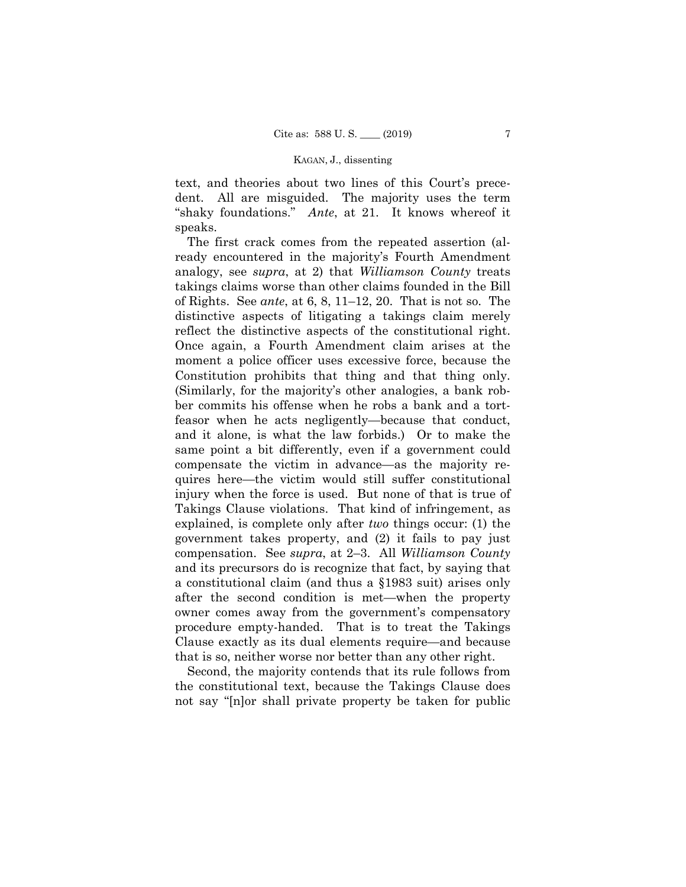text, and theories about two lines of this Court's precedent. All are misguided. The majority uses the term "shaky foundations." *Ante*, at 21. It knows whereof it speaks.

 reflect the distinctive aspects of the constitutional right. Constitution prohibits that thing and that thing only. The first crack comes from the repeated assertion (already encountered in the majority's Fourth Amendment analogy, see *supra*, at 2) that *Williamson County* treats takings claims worse than other claims founded in the Bill of Rights. See *ante*, at 6, 8, 11–12, 20. That is not so. The distinctive aspects of litigating a takings claim merely Once again, a Fourth Amendment claim arises at the moment a police officer uses excessive force, because the (Similarly, for the majority's other analogies, a bank robber commits his offense when he robs a bank and a tortfeasor when he acts negligently—because that conduct, and it alone, is what the law forbids.) Or to make the same point a bit differently, even if a government could compensate the victim in advance—as the majority requires here—the victim would still suffer constitutional injury when the force is used. But none of that is true of Takings Clause violations. That kind of infringement, as explained, is complete only after *two* things occur: (1) the government takes property, and (2) it fails to pay just compensation. See *supra*, at 2–3. All *Williamson County* and its precursors do is recognize that fact, by saying that a constitutional claim (and thus a §1983 suit) arises only after the second condition is met—when the property owner comes away from the government's compensatory procedure empty-handed. That is to treat the Takings Clause exactly as its dual elements require—and because that is so, neither worse nor better than any other right.

Second, the majority contends that its rule follows from the constitutional text, because the Takings Clause does not say "[n]or shall private property be taken for public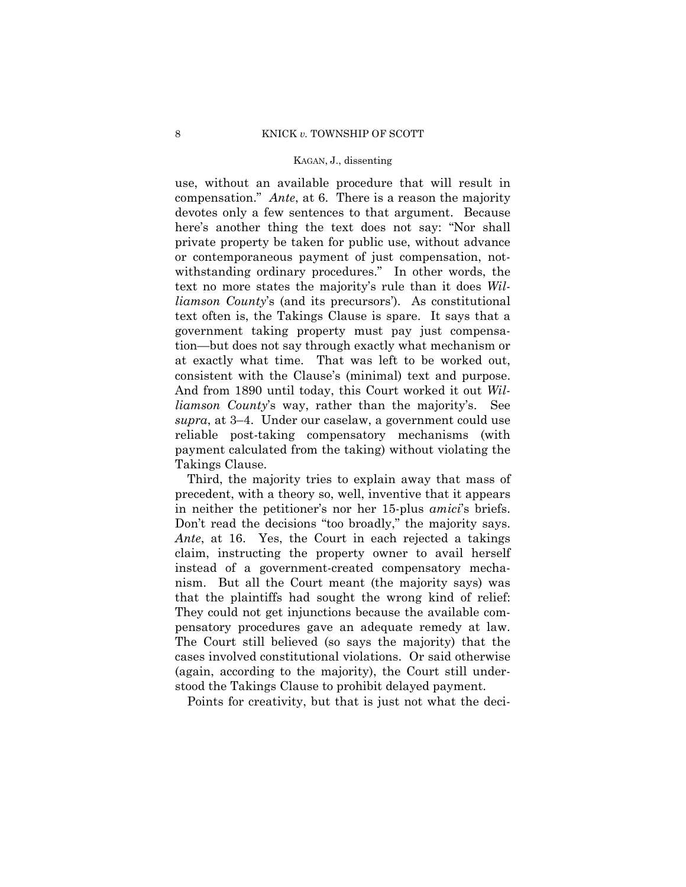consistent with the Clause's (minimal) text and purpose. use, without an available procedure that will result in compensation." *Ante*, at 6. There is a reason the majority devotes only a few sentences to that argument. Because here's another thing the text does not say: "Nor shall private property be taken for public use, without advance or contemporaneous payment of just compensation, notwithstanding ordinary procedures." In other words, the text no more states the majority's rule than it does *Williamson County*'s (and its precursors'). As constitutional text often is, the Takings Clause is spare. It says that a government taking property must pay just compensation—but does not say through exactly what mechanism or at exactly what time. That was left to be worked out, And from 1890 until today, this Court worked it out *Williamson County*'s way, rather than the majority's. See *supra*, at 3–4. Under our caselaw, a government could use reliable post-taking compensatory mechanisms (with payment calculated from the taking) without violating the Takings Clause.

Third, the majority tries to explain away that mass of precedent, with a theory so, well, inventive that it appears in neither the petitioner's nor her 15-plus *amici*'s briefs. Don't read the decisions "too broadly," the majority says. *Ante*, at 16. Yes, the Court in each rejected a takings claim, instructing the property owner to avail herself instead of a government-created compensatory mechanism. But all the Court meant (the majority says) was that the plaintiffs had sought the wrong kind of relief: They could not get injunctions because the available compensatory procedures gave an adequate remedy at law. The Court still believed (so says the majority) that the cases involved constitutional violations. Or said otherwise (again, according to the majority), the Court still understood the Takings Clause to prohibit delayed payment.

Points for creativity, but that is just not what the deci-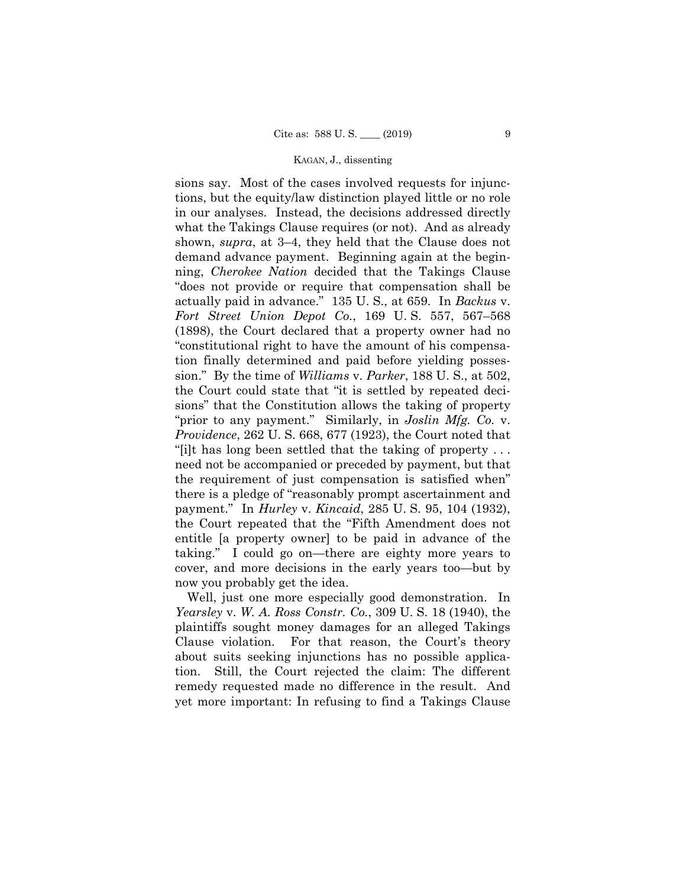sions say. Most of the cases involved requests for injunctions, but the equity/law distinction played little or no role in our analyses. Instead, the decisions addressed directly what the Takings Clause requires (or not). And as already shown, *supra*, at 3–4, they held that the Clause does not demand advance payment. Beginning again at the beginning, *Cherokee Nation* decided that the Takings Clause "does not provide or require that compensation shall be actually paid in advance." 135 U. S., at 659. In *Backus* v. *Fort Street Union Depot Co.*, 169 U. S. 557, 567–568 (1898), the Court declared that a property owner had no "constitutional right to have the amount of his compensation finally determined and paid before yielding possession." By the time of *Williams* v. *Parker*, 188 U. S., at 502, the Court could state that "it is settled by repeated decisions" that the Constitution allows the taking of property "prior to any payment." Similarly, in *Joslin Mfg. Co.* v. *Providence*, 262 U. S. 668, 677 (1923), the Court noted that "[i]t has long been settled that the taking of property . . . need not be accompanied or preceded by payment, but that the requirement of just compensation is satisfied when" there is a pledge of "reasonably prompt ascertainment and payment." In *Hurley* v. *Kincaid*, 285 U. S. 95, 104 (1932), the Court repeated that the "Fifth Amendment does not entitle [a property owner] to be paid in advance of the taking." I could go on—there are eighty more years to cover, and more decisions in the early years too—but by now you probably get the idea.

Well, just one more especially good demonstration. In *Yearsley* v. *W. A. Ross Constr. Co.*, 309 U. S. 18 (1940), the plaintiffs sought money damages for an alleged Takings Clause violation. For that reason, the Court's theory about suits seeking injunctions has no possible application. Still, the Court rejected the claim: The different remedy requested made no difference in the result. And yet more important: In refusing to find a Takings Clause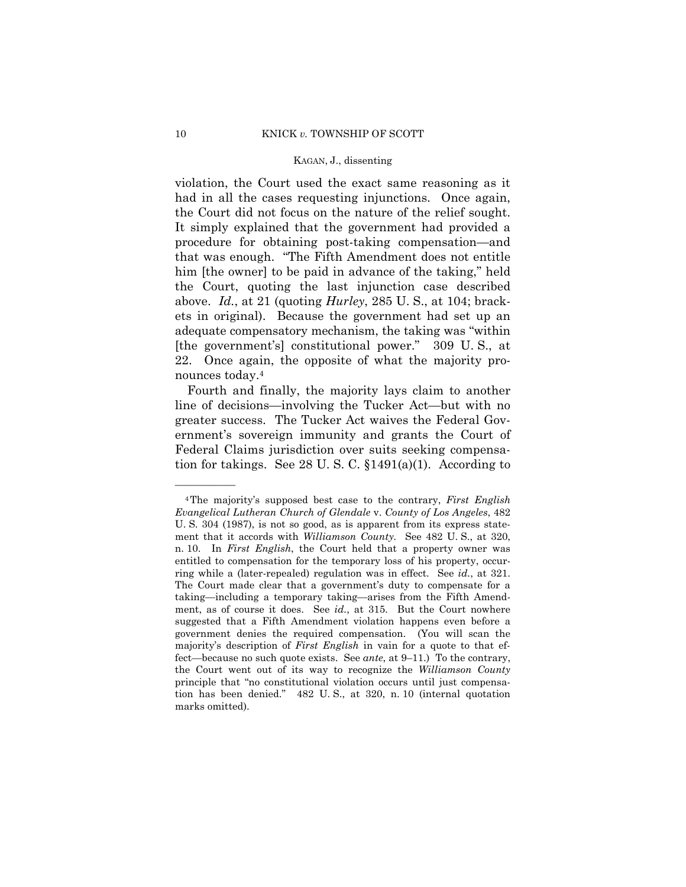violation, the Court used the exact same reasoning as it had in all the cases requesting injunctions. Once again, the Court did not focus on the nature of the relief sought. It simply explained that the government had provided a procedure for obtaining post-taking compensation—and that was enough. "The Fifth Amendment does not entitle him [the owner] to be paid in advance of the taking," held the Court, quoting the last injunction case described above. *Id.*, at 21 (quoting *Hurley*, 285 U. S., at 104; brackets in original). Because the government had set up an adequate compensatory mechanism, the taking was "within [the government's] constitutional power." 309 U. S., at 22. Once again, the opposite of what the majority pronounces today.4

Fourth and finally, the majority lays claim to another line of decisions—involving the Tucker Act—but with no greater success. The Tucker Act waives the Federal Government's sovereign immunity and grants the Court of Federal Claims jurisdiction over suits seeking compensation for takings. See 28 U. S. C. §1491(a)(1). According to

 ment that it accords with *Williamson County.* See 482 U. S., at 320, n. 10. In *First English*, the Court held that a property owner was ring while a (later-repealed) regulation was in effect. See  $id.$ , at 321. 4The majority's supposed best case to the contrary, *First English Evangelical Lutheran Church of Glendale* v. *County of Los Angeles*, 482 U. S. 304 (1987), is not so good, as is apparent from its express stateentitled to compensation for the temporary loss of his property, occur-The Court made clear that a government's duty to compensate for a taking—including a temporary taking—arises from the Fifth Amendment, as of course it does. See *id.*, at 315. But the Court nowhere suggested that a Fifth Amendment violation happens even before a government denies the required compensation. (You will scan the majority's description of *First English* in vain for a quote to that effect—because no such quote exists. See *ante*, at 9–11.) To the contrary, the Court went out of its way to recognize the *Williamson County*  principle that "no constitutional violation occurs until just compensation has been denied." 482 U. S., at 320, n. 10 (internal quotation marks omitted).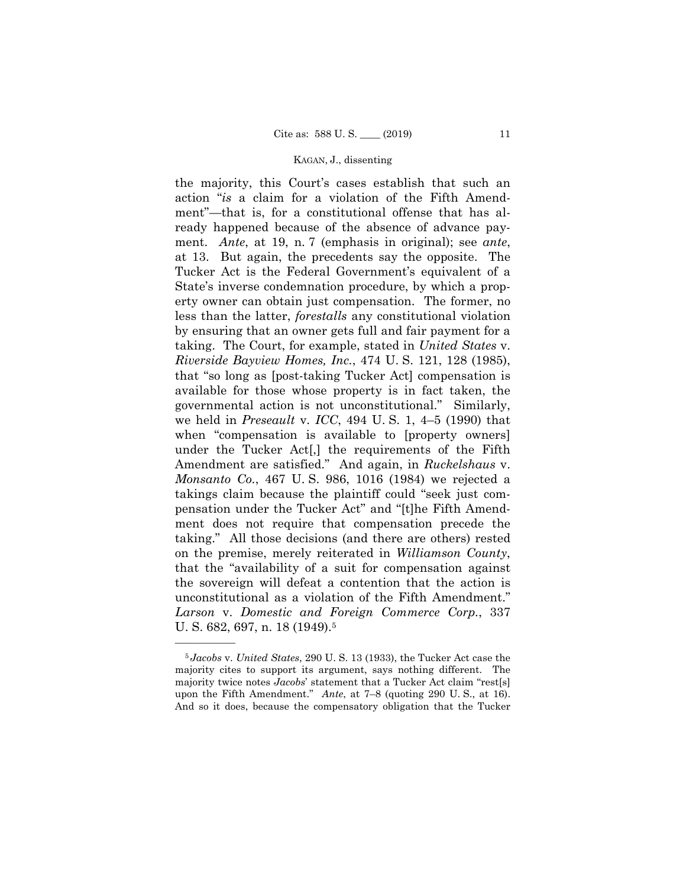the majority, this Court's cases establish that such an action "*is* a claim for a violation of the Fifth Amendment"—that is, for a constitutional offense that has already happened because of the absence of advance payment. *Ante*, at 19, n. 7 (emphasis in original); see *ante*, at 13. But again, the precedents say the opposite. The Tucker Act is the Federal Government's equivalent of a State's inverse condemnation procedure, by which a property owner can obtain just compensation. The former, no less than the latter, *forestalls* any constitutional violation by ensuring that an owner gets full and fair payment for a taking. The Court, for example, stated in *United States* v. *Riverside Bayview Homes, Inc.*, 474 U. S. 121, 128 (1985), that "so long as [post-taking Tucker Act] compensation is available for those whose property is in fact taken, the governmental action is not unconstitutional." Similarly, we held in *Preseault* v. *ICC*, 494 U. S. 1, 4–5 (1990) that when "compensation is available to [property owners] under the Tucker Act[,] the requirements of the Fifth Amendment are satisfied." And again, in *Ruckelshaus* v. *Monsanto Co.*, 467 U. S. 986, 1016 (1984) we rejected a takings claim because the plaintiff could "seek just compensation under the Tucker Act" and "[t]he Fifth Amendment does not require that compensation precede the taking." All those decisions (and there are others) rested on the premise, merely reiterated in *Williamson County*, that the "availability of a suit for compensation against the sovereign will defeat a contention that the action is unconstitutional as a violation of the Fifth Amendment." *Larson* v. *Domestic and Foreign Commerce Corp.*, 337 U. S. 682, 697, n. 18 (1949).<sup>5</sup>

 majority cites to support its argument, says nothing different. The <sup>5</sup>*Jacobs* v. *United States*, 290 U. S. 13 (1933), the Tucker Act case the majority twice notes *Jacobs*' statement that a Tucker Act claim "rest[s] upon the Fifth Amendment." *Ante*, at 7–8 (quoting 290 U. S., at 16). And so it does, because the compensatory obligation that the Tucker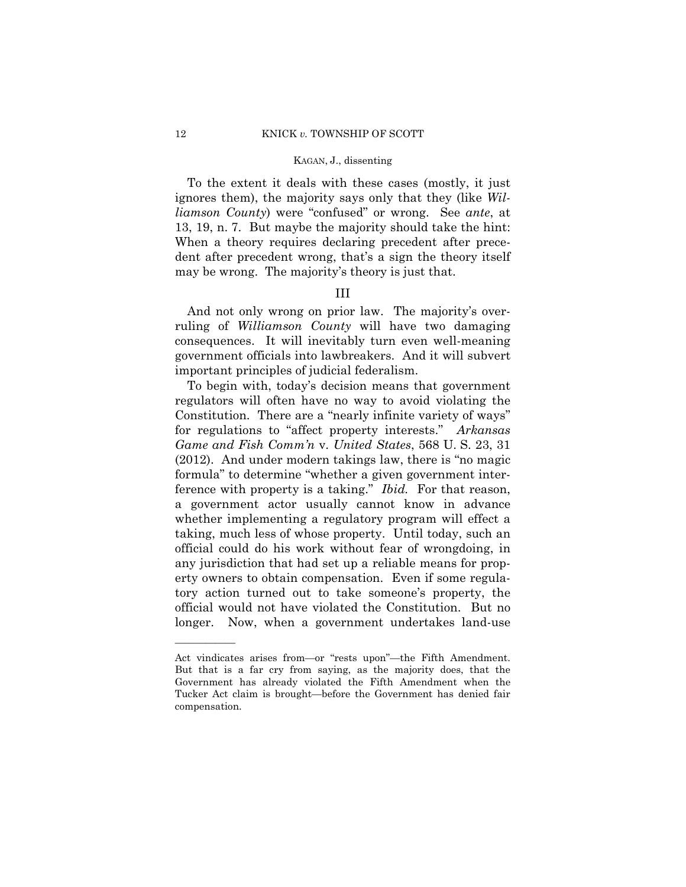To the extent it deals with these cases (mostly, it just ignores them), the majority says only that they (like *Williamson County*) were "confused" or wrong. See *ante*, at 13, 19, n. 7. But maybe the majority should take the hint: When a theory requires declaring precedent after precedent after precedent wrong, that's a sign the theory itself may be wrong. The majority's theory is just that.

# III

And not only wrong on prior law. The majority's overruling of *Williamson County* will have two damaging consequences. It will inevitably turn even well-meaning government officials into lawbreakers. And it will subvert important principles of judicial federalism.

To begin with, today's decision means that government regulators will often have no way to avoid violating the Constitution. There are a "nearly infinite variety of ways" for regulations to "affect property interests." *Arkansas Game and Fish Comm'n* v. *United States*, 568 U. S. 23, 31 (2012). And under modern takings law, there is "no magic formula" to determine "whether a given government interference with property is a taking." *Ibid.* For that reason, a government actor usually cannot know in advance whether implementing a regulatory program will effect a taking, much less of whose property. Until today, such an official could do his work without fear of wrongdoing, in any jurisdiction that had set up a reliable means for property owners to obtain compensation. Even if some regulatory action turned out to take someone's property, the official would not have violated the Constitution. But no longer. Now, when a government undertakes land-use

Act vindicates arises from-or "rests upon"-the Fifth Amendment. But that is a far cry from saying, as the majority does, that the Government has already violated the Fifth Amendment when the Tucker Act claim is brought—before the Government has denied fair compensation.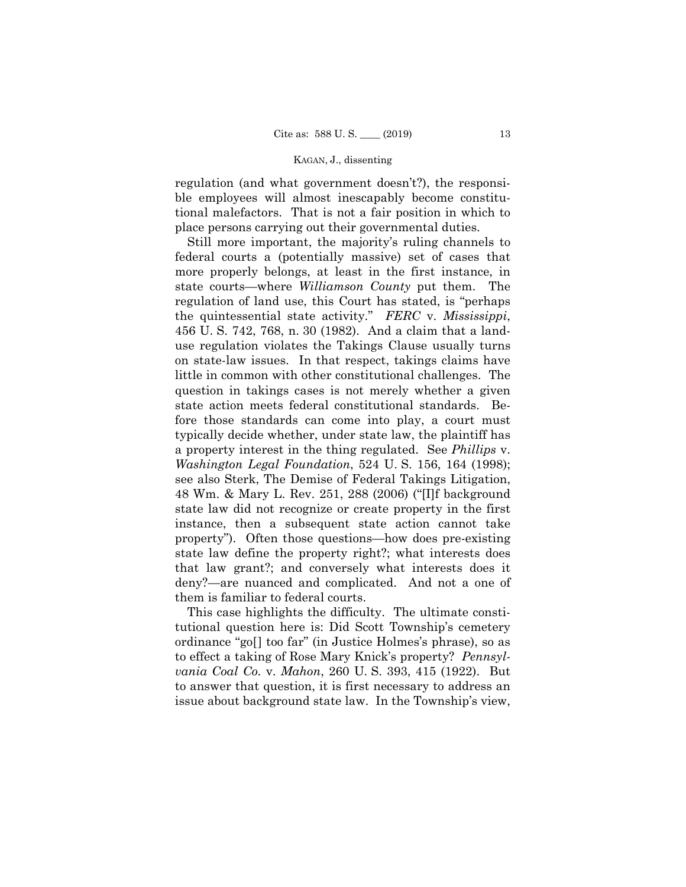regulation (and what government doesn't?), the responsible employees will almost inescapably become constitutional malefactors. That is not a fair position in which to place persons carrying out their governmental duties.

Still more important, the majority's ruling channels to federal courts a (potentially massive) set of cases that more properly belongs, at least in the first instance, in state courts—where *Williamson County* put them. The regulation of land use, this Court has stated, is "perhaps the quintessential state activity." *FERC* v. *Mississippi*, 456 U. S. 742, 768, n. 30 (1982). And a claim that a landuse regulation violates the Takings Clause usually turns on state-law issues. In that respect, takings claims have little in common with other constitutional challenges. The question in takings cases is not merely whether a given state action meets federal constitutional standards. Before those standards can come into play, a court must typically decide whether, under state law, the plaintiff has a property interest in the thing regulated. See *Phillips* v. *Washington Legal Foundation*, 524 U. S. 156, 164 (1998); see also Sterk, The Demise of Federal Takings Litigation, 48 Wm. & Mary L. Rev. 251, 288 (2006) ("[I]f background state law did not recognize or create property in the first instance, then a subsequent state action cannot take property"). Often those questions—how does pre-existing state law define the property right?; what interests does that law grant?; and conversely what interests does it deny?—are nuanced and complicated. And not a one of them is familiar to federal courts.

 to effect a taking of Rose Mary Knick's property? *Pennsyl-*This case highlights the difficulty. The ultimate constitutional question here is: Did Scott Township's cemetery ordinance "go[] too far" (in Justice Holmes's phrase), so as *vania Coal Co.* v. *Mahon*, 260 U. S. 393, 415 (1922). But to answer that question, it is first necessary to address an issue about background state law. In the Township's view,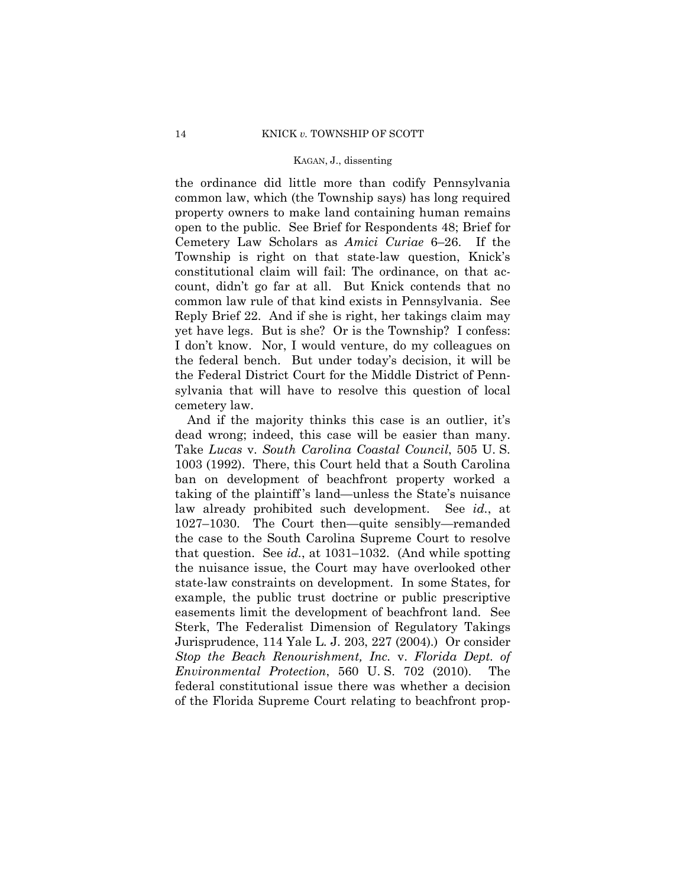the ordinance did little more than codify Pennsylvania common law, which (the Township says) has long required property owners to make land containing human remains open to the public. See Brief for Respondents 48; Brief for Cemetery Law Scholars as *Amici Curiae* 6–26. If the Township is right on that state-law question, Knick's constitutional claim will fail: The ordinance, on that account, didn't go far at all. But Knick contends that no common law rule of that kind exists in Pennsylvania. See Reply Brief 22. And if she is right, her takings claim may yet have legs. But is she? Or is the Township? I confess: I don't know. Nor, I would venture, do my colleagues on the federal bench. But under today's decision, it will be the Federal District Court for the Middle District of Pennsylvania that will have to resolve this question of local cemetery law.

And if the majority thinks this case is an outlier, it's dead wrong; indeed, this case will be easier than many. Take *Lucas* v. *South Carolina Coastal Council*, 505 U. S. 1003 (1992). There, this Court held that a South Carolina ban on development of beachfront property worked a taking of the plaintiff 's land—unless the State's nuisance law already prohibited such development. See *id.*, at 1027–1030. The Court then—quite sensibly—remanded the case to the South Carolina Supreme Court to resolve that question. See *id.*, at 1031–1032. (And while spotting the nuisance issue, the Court may have overlooked other state-law constraints on development. In some States, for example, the public trust doctrine or public prescriptive easements limit the development of beachfront land. See Sterk, The Federalist Dimension of Regulatory Takings Jurisprudence, 114 Yale L. J. 203, 227 (2004).) Or consider *Stop the Beach Renourishment, Inc.* v. *Florida Dept. of Environmental Protection*, 560 U. S. 702 (2010). The federal constitutional issue there was whether a decision of the Florida Supreme Court relating to beachfront prop-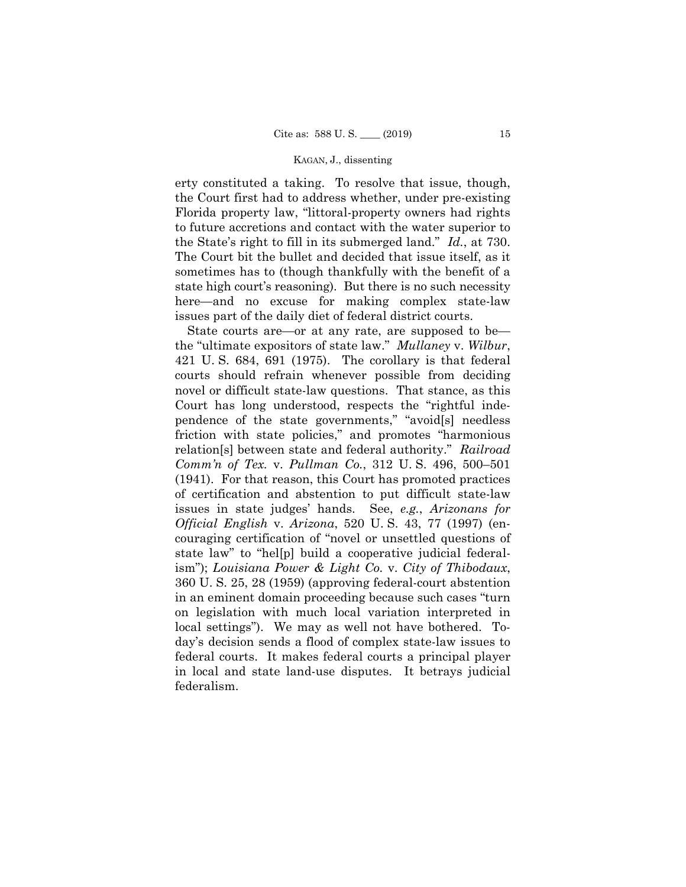erty constituted a taking. To resolve that issue, though, the Court first had to address whether, under pre-existing Florida property law, "littoral-property owners had rights to future accretions and contact with the water superior to the State's right to fill in its submerged land." *Id.*, at 730. The Court bit the bullet and decided that issue itself, as it sometimes has to (though thankfully with the benefit of a state high court's reasoning). But there is no such necessity here—and no excuse for making complex state-law issues part of the daily diet of federal district courts.

State courts are—or at any rate, are supposed to be the "ultimate expositors of state law." *Mullaney* v. *Wilbur*, 421 U. S. 684, 691 (1975). The corollary is that federal courts should refrain whenever possible from deciding novel or difficult state-law questions. That stance, as this Court has long understood, respects the "rightful independence of the state governments," "avoid[s] needless friction with state policies," and promotes "harmonious relation[s] between state and federal authority." *Railroad Comm'n of Tex.* v. *Pullman Co.*, 312 U. S. 496, 500–501 (1941). For that reason, this Court has promoted practices of certification and abstention to put difficult state-law issues in state judges' hands. See, *e.g.*, *Arizonans for Official English* v. *Arizona*, 520 U. S. 43, 77 (1997) (encouraging certification of "novel or unsettled questions of state law" to "hel[p] build a cooperative judicial federalism"); *Louisiana Power & Light Co.* v. *City of Thibodaux*, 360 U. S. 25, 28 (1959) (approving federal-court abstention in an eminent domain proceeding because such cases "turn on legislation with much local variation interpreted in local settings"). We may as well not have bothered. Today's decision sends a flood of complex state-law issues to federal courts. It makes federal courts a principal player in local and state land-use disputes. It betrays judicial federalism.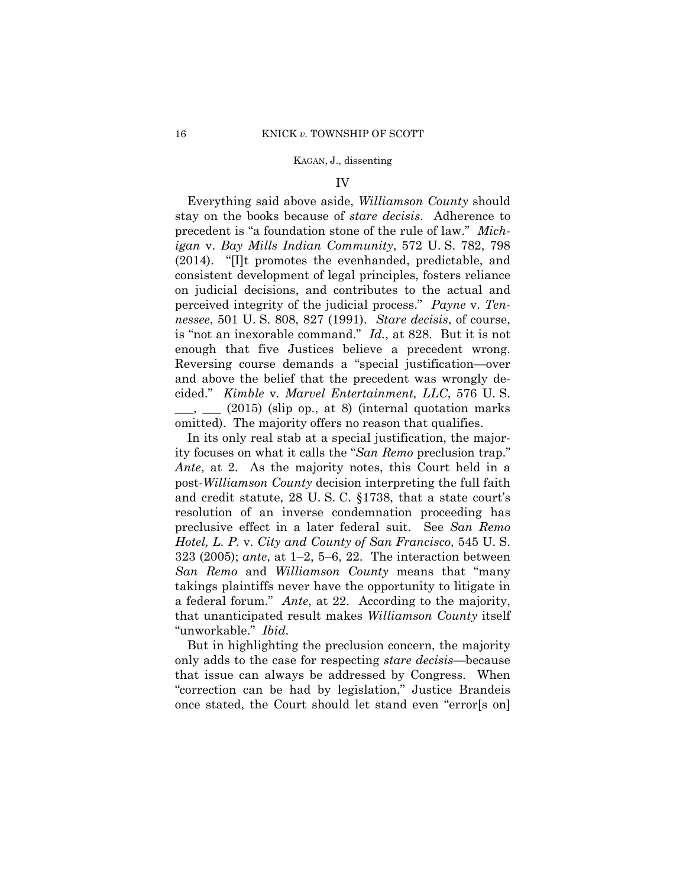## IV

Everything said above aside, *Williamson County* should stay on the books because of *stare decisis*. Adherence to precedent is "a foundation stone of the rule of law." *Michigan* v. *Bay Mills Indian Community*, 572 U. S. 782, 798 (2014). "[I]t promotes the evenhanded, predictable, and consistent development of legal principles, fosters reliance on judicial decisions, and contributes to the actual and perceived integrity of the judicial process." *Payne* v. *Tennessee*, 501 U. S. 808, 827 (1991). *Stare decisis*, of course, is "not an inexorable command." *Id.*, at 828. But it is not enough that five Justices believe a precedent wrong. Reversing course demands a "special justification—over and above the belief that the precedent was wrongly decided." *Kimble* v. *Marvel Entertainment, LLC*, 576 U. S.  $(2015)$  (slip op., at 8) (internal quotation marks omitted). The majority offers no reason that qualifies.

In its only real stab at a special justification, the majority focuses on what it calls the "*San Remo* preclusion trap." *Ante*, at 2. As the majority notes, this Court held in a post-*Williamson County* decision interpreting the full faith and credit statute, 28 U. S. C. §1738, that a state court's resolution of an inverse condemnation proceeding has preclusive effect in a later federal suit. See *San Remo Hotel, L. P.* v. *City and County of San Francisco*, 545 U. S. 323 (2005); *ante*, at 1–2, 5–6, 22. The interaction between *San Remo* and *Williamson County* means that "many takings plaintiffs never have the opportunity to litigate in a federal forum." *Ante*, at 22. According to the majority, that unanticipated result makes *Williamson County* itself "unworkable." *Ibid.* 

But in highlighting the preclusion concern, the majority only adds to the case for respecting *stare decisis*—because that issue can always be addressed by Congress. When "correction can be had by legislation," Justice Brandeis once stated, the Court should let stand even "error[s on]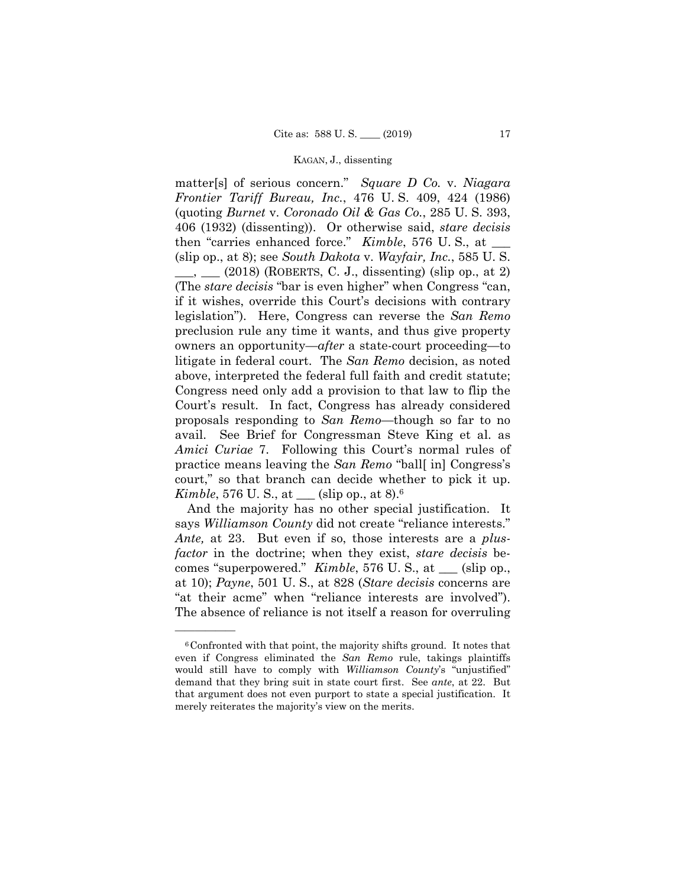matter[s] of serious concern." *Square D Co.* v. *Niagara Frontier Tariff Bureau, Inc.*, 476 U. S. 409, 424 (1986) (quoting *Burnet* v. *Coronado Oil & Gas Co.*, 285 U. S. 393, 406 (1932) (dissenting)). Or otherwise said, *stare decisis*  then "carries enhanced force." *Kimble*, 576 U. S., at \_\_\_ (slip op., at 8); see *South Dakota* v. *Wayfair, Inc.*, 585 U. S.

 $\_\_$ ,  $\_\_$  (2018) (ROBERTS, C. J., dissenting) (slip op., at 2) (The *stare decisis* "bar is even higher" when Congress "can, if it wishes, override this Court's decisions with contrary legislation"). Here, Congress can reverse the *San Remo*  preclusion rule any time it wants, and thus give property owners an opportunity—*after* a state-court proceeding—to litigate in federal court. The *San Remo* decision, as noted above, interpreted the federal full faith and credit statute; Congress need only add a provision to that law to flip the Court's result. In fact, Congress has already considered proposals responding to *San Remo*—though so far to no avail. See Brief for Congressman Steve King et al. as *Amici Curiae* 7. Following this Court's normal rules of practice means leaving the *San Remo* "ball[ in] Congress's court," so that branch can decide whether to pick it up. *Kimble*, 576 U. S., at <u>equal</u> (slip op., at 8).<sup>6</sup>

 comes "superpowered." *Kimble*, 576 U. S., at \_\_\_ (slip op., And the majority has no other special justification. It says *Williamson County* did not create "reliance interests." *Ante,* at 23. But even if so, those interests are a *plusfactor* in the doctrine; when they exist, *stare decisis* beat 10); *Payne*, 501 U. S., at 828 (*Stare decisis* concerns are "at their acme" when "reliance interests are involved"). The absence of reliance is not itself a reason for overruling

<sup>6</sup>Confronted with that point, the majority shifts ground. It notes that even if Congress eliminated the *San Remo* rule, takings plaintiffs would still have to comply with *Williamson County*'s "unjustified" demand that they bring suit in state court first. See *ante*, at 22. But that argument does not even purport to state a special justification. It merely reiterates the majority's view on the merits.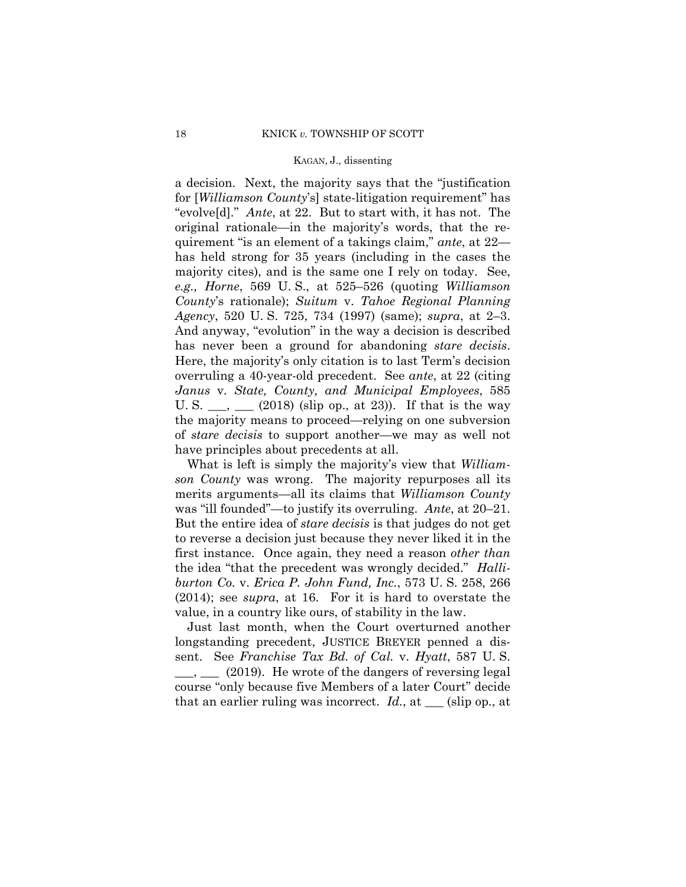a decision. Next, the majority says that the "justification for [*Williamson County*'s] state-litigation requirement" has "evolve[d]." *Ante*, at 22. But to start with, it has not. The original rationale—in the majority's words, that the requirement "is an element of a takings claim," *ante*, at 22 has held strong for 35 years (including in the cases the majority cites), and is the same one I rely on today. See, *e.g., Horne*, 569 U. S., at 525–526 (quoting *Williamson County*'s rationale); *Suitum* v. *Tahoe Regional Planning Agency*, 520 U. S. 725, 734 (1997) (same); *supra*, at 2–3. And anyway, "evolution" in the way a decision is described has never been a ground for abandoning *stare decisis*. Here, the majority's only citation is to last Term's decision overruling a 40-year-old precedent. See *ante*, at 22 (citing *Janus* v. *State, County, and Municipal Employees*, 585 U. S.  $\_\_\_\_\_\_\_\_\_\_\$  (2018) (slip op., at 23)). If that is the way the majority means to proceed—relying on one subversion of *stare decisis* to support another—we may as well not have principles about precedents at all.

What is left is simply the majority's view that *Williamson County* was wrong. The majority repurposes all its merits arguments—all its claims that *Williamson County* was "ill founded"—to justify its overruling. *Ante*, at 20–21. But the entire idea of *stare decisis* is that judges do not get to reverse a decision just because they never liked it in the first instance. Once again, they need a reason *other than*  the idea "that the precedent was wrongly decided." *Halliburton Co.* v. *Erica P. John Fund, Inc.*, 573 U. S. 258, 266 (2014); see *supra*, at 16. For it is hard to overstate the value, in a country like ours, of stability in the law.

Just last month, when the Court overturned another longstanding precedent, JUSTICE BREYER penned a dissent. See *Franchise Tax Bd. of Cal.* v. *Hyatt*, 587 U. S. \_\_\_, \_\_\_ (2019). He wrote of the dangers of reversing legal course "only because five Members of a later Court" decide that an earlier ruling was incorrect.  $Id$ , at  $\_\_\_$  (slip op., at